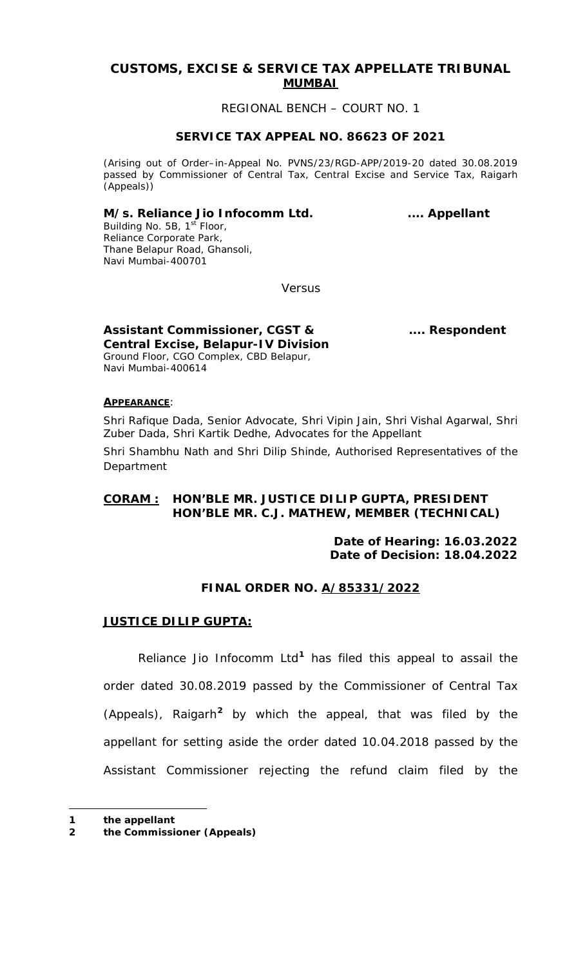# **CUSTOMS, EXCISE & SERVICE TAX APPELLATE TRIBUNAL MUMBAI**

## REGIONAL BENCH – COURT NO. 1

## **SERVICE TAX APPEAL NO. 86623 OF 2021**

(Arising out of Order–in-Appeal No. PVNS/23/RGD-APP/2019-20 dated 30.08.2019 passed by Commissioner of Central Tax, Central Excise and Service Tax, Raigarh (Appeals))

## M/s. Reliance Jio Infocomm Ltd. **..... Appellant**

Building No. 5B, 1<sup>st</sup> Floor, Reliance Corporate Park, Thane Belapur Road, Ghansoli, Navi Mumbai-400701

Versus

**Assistant Commissioner, CGST & .... Respondent Central Excise, Belapur-IV Division** Ground Floor, CGO Complex, CBD Belapur, Navi Mumbai-400614

## **APPEARANCE**:

Shri Rafique Dada, Senior Advocate, Shri Vipin Jain, Shri Vishal Agarwal, Shri Zuber Dada, Shri Kartik Dedhe, Advocates for the Appellant

Shri Shambhu Nath and Shri Dilip Shinde, Authorised Representatives of the Department

# **CORAM : HON'BLE MR. JUSTICE DILIP GUPTA, PRESIDENT HON'BLE MR. C.J. MATHEW, MEMBER (TECHNICAL)**

**Date of Hearing: 16.03.2022 Date of Decision: 18.04.2022**

# **FINAL ORDER NO. A/85331/2022**

## **JUSTICE DILIP GUPTA:**

Reliance Jio Infocomm Ltd**[1](#page-0-0)** has filed this appeal to assail the order dated 30.08.2019 passed by the Commissioner of Central Tax (Appeals), Raigarh**[2](#page-0-1)** by which the appeal, that was filed by the appellant for setting aside the order dated 10.04.2018 passed by the Assistant Commissioner rejecting the refund claim filed by the

<span id="page-0-2"></span> $\overline{a}$ 

<span id="page-0-0"></span>**<sup>1</sup> the appellant** 

<span id="page-0-1"></span>**<sup>2</sup> the Commissioner (Appeals)**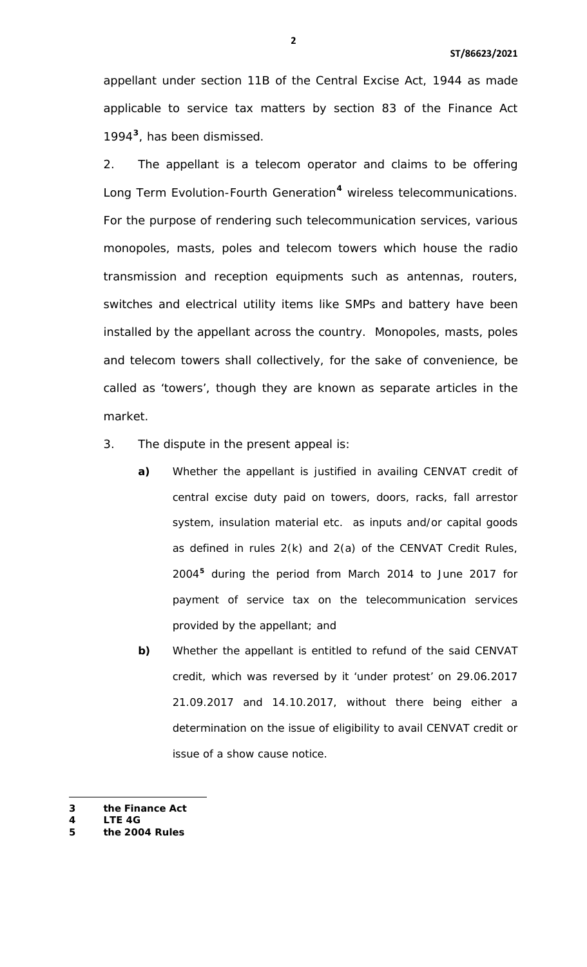appellant under section 11B of the Central Excise Act, 1944 as made applicable to service tax matters by section 83 of the Finance Act 1994**[3](#page-0-2)**, has been dismissed.

2. The appellant is a telecom operator and claims to be offering Long Term Evolution-Fourth Generation**[4](#page-1-0)** wireless telecommunications. For the purpose of rendering such telecommunication services, various monopoles, masts, poles and telecom towers which house the radio transmission and reception equipments such as antennas, routers, switches and electrical utility items like SMPs and battery have been installed by the appellant across the country. Monopoles, masts, poles and telecom towers shall collectively, for the sake of convenience, be called as 'towers', though they are known as separate articles in the market.

- 3. The dispute in the present appeal is:
	- **a)** Whether the appellant is justified in availing CENVAT credit of central excise duty paid on towers, doors, racks, fall arrestor system, insulation material etc. as inputs and/or capital goods as defined in rules 2(k) and 2(a) of the CENVAT Credit Rules, 2004**[5](#page-1-0)** during the period from March 2014 to June 2017 for payment of service tax on the telecommunication services provided by the appellant; and
	- **b)** Whether the appellant is entitled to refund of the said CENVAT credit, which was reversed by it 'under protest' on 29.06.2017 21.09.2017 and 14.10.2017, without there being either a determination on the issue of eligibility to avail CENVAT credit or issue of a show cause notice.
- <span id="page-1-0"></span>**3 the Finance Act**

l

<span id="page-1-1"></span>**<sup>4</sup> LTE 4G 5 the 2004 Rules**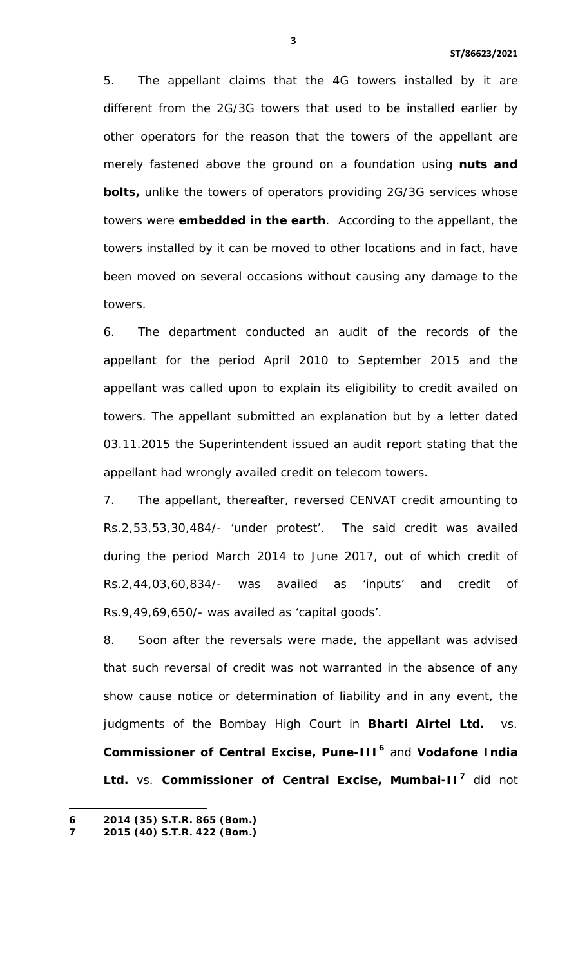5. The appellant claims that the 4G towers installed by it are different from the 2G/3G towers that used to be installed earlier by other operators for the reason that the towers of the appellant are merely fastened above the ground on a foundation using **nuts and bolts,** unlike the towers of operators providing 2G/3G services whose towers were **embedded in the earth**. According to the appellant, the towers installed by it can be moved to other locations and in fact, have been moved on several occasions without causing any damage to the towers.

6. The department conducted an audit of the records of the appellant for the period April 2010 to September 2015 and the appellant was called upon to explain its eligibility to credit availed on towers. The appellant submitted an explanation but by a letter dated 03.11.2015 the Superintendent issued an audit report stating that the appellant had wrongly availed credit on telecom towers.

7. The appellant, thereafter, reversed CENVAT credit amounting to Rs.2,53,53,30,484/- 'under protest'. The said credit was availed during the period March 2014 to June 2017, out of which credit of Rs.2,44,03,60,834/- was availed as 'inputs' and credit of Rs.9,49,69,650/- was availed as 'capital goods'.

8. Soon after the reversals were made, the appellant was advised that such reversal of credit was not warranted in the absence of any show cause notice or determination of liability and in any event, the judgments of the Bombay High Court in **Bharti Airtel Ltd.** vs. **Commissioner of Central Excise, Pune-III[6](#page-1-1)** and **Vodafone India Ltd.** vs. **Commissioner of Central Excise, Mumbai-II[7](#page-2-0)** did not

<span id="page-2-1"></span> $\overline{a}$ 

<span id="page-2-0"></span>**<sup>6</sup> 2014 (35) S.T.R. 865 (Bom.)**

**<sup>7</sup> 2015 (40) S.T.R. 422 (Bom.)**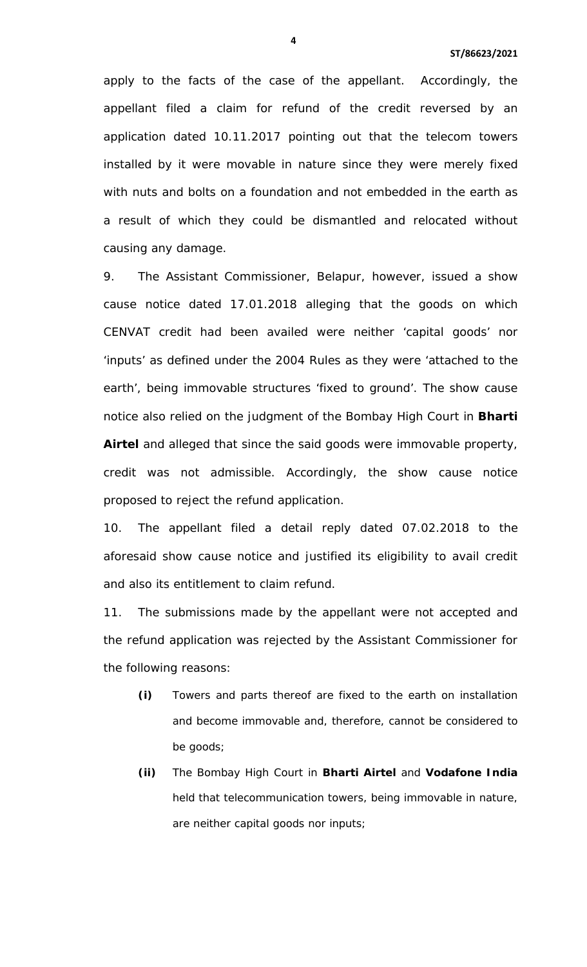apply to the facts of the case of the appellant. Accordingly, the appellant filed a claim for refund of the credit reversed by an application dated 10.11.2017 pointing out that the telecom towers installed by it were movable in nature since they were merely fixed with nuts and bolts on a foundation and not embedded in the earth as a result of which they could be dismantled and relocated without causing any damage.

9. The Assistant Commissioner, Belapur, however, issued a show cause notice dated 17.01.2018 alleging that the goods on which CENVAT credit had been availed were neither 'capital goods' nor 'inputs' as defined under the 2004 Rules as they were 'attached to the earth', being immovable structures 'fixed to ground'. The show cause notice also relied on the judgment of the Bombay High Court in **Bharti Airtel** and alleged that since the said goods were immovable property, credit was not admissible. Accordingly, the show cause notice proposed to reject the refund application.

10. The appellant filed a detail reply dated 07.02.2018 to the aforesaid show cause notice and justified its eligibility to avail credit and also its entitlement to claim refund.

11. The submissions made by the appellant were not accepted and the refund application was rejected by the Assistant Commissioner for the following reasons:

- **(i)** Towers and parts thereof are fixed to the earth on installation and become immovable and, therefore, cannot be considered to be goods;
- **(ii)** The Bombay High Court in **Bharti Airtel** and **Vodafone India** held that telecommunication towers, being immovable in nature, are neither capital goods nor inputs;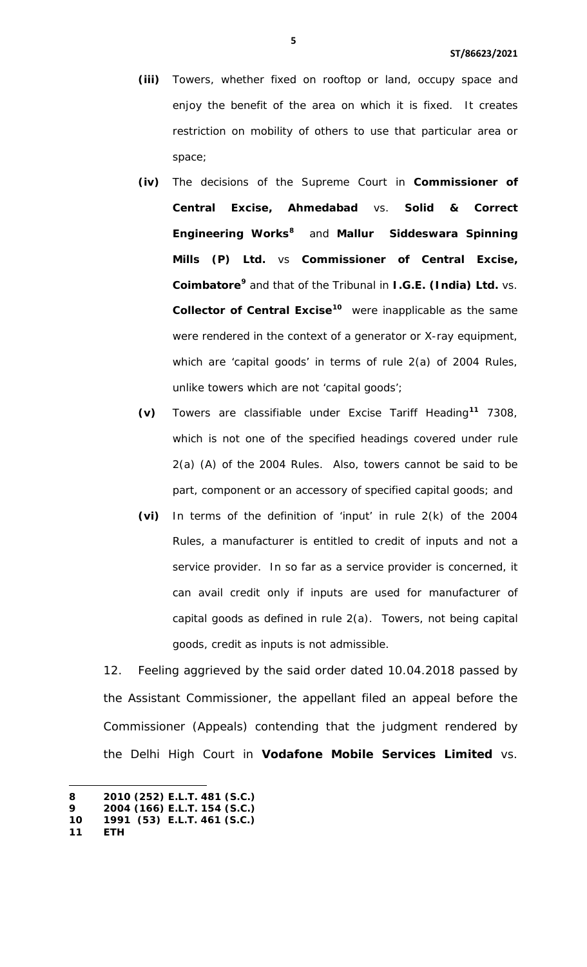- **(iii)** Towers, whether fixed on rooftop or land, occupy space and enjoy the benefit of the area on which it is fixed. It creates restriction on mobility of others to use that particular area or space;
- **(iv)** The decisions of the Supreme Court in **Commissioner of Central Excise, Ahmedabad** vs. **Solid & Correct Engineering Works[8](#page-2-1)** and **Mallur Siddeswara Spinning Mills (P) Ltd.** vs **Commissioner of Central Excise, Coimbatore[9](#page-4-0)** and that of the Tribunal in **I.G.E. (India) Ltd.** vs. **Collector of Central Excise[10](#page-4-0)** were inapplicable as the same were rendered in the context of a generator or X-ray equipment, which are 'capital goods' in terms of rule 2(a) of 2004 Rules, unlike towers which are not 'capital goods';
- **(v)** Towers are classifiable under Excise Tariff Heading**[11](#page-4-0)** 7308, which is not one of the specified headings covered under rule 2(a) (A) of the 2004 Rules. Also, towers cannot be said to be part, component or an accessory of specified capital goods; and
- **(vi)** In terms of the definition of 'input' in rule 2(k) of the 2004 Rules, a manufacturer is entitled to credit of inputs and not a service provider. In so far as a service provider is concerned, it can avail credit only if inputs are used for manufacturer of capital goods as defined in rule 2(a). Towers, not being capital goods, credit as inputs is not admissible.

12. Feeling aggrieved by the said order dated 10.04.2018 passed by the Assistant Commissioner, the appellant filed an appeal before the Commissioner (Appeals) contending that the judgment rendered by the Delhi High Court in **Vodafone Mobile Services Limited** vs.

 $\overline{a}$ 

<span id="page-4-0"></span>**<sup>8</sup> 2010 (252) E.L.T. 481 (S.C.)** 

**<sup>9</sup> 2004 (166) E.L.T. 154 (S.C.)**

**<sup>10</sup> 1991 (53) E.L.T. 461 (S.C.) 11 ETH**

<span id="page-4-1"></span>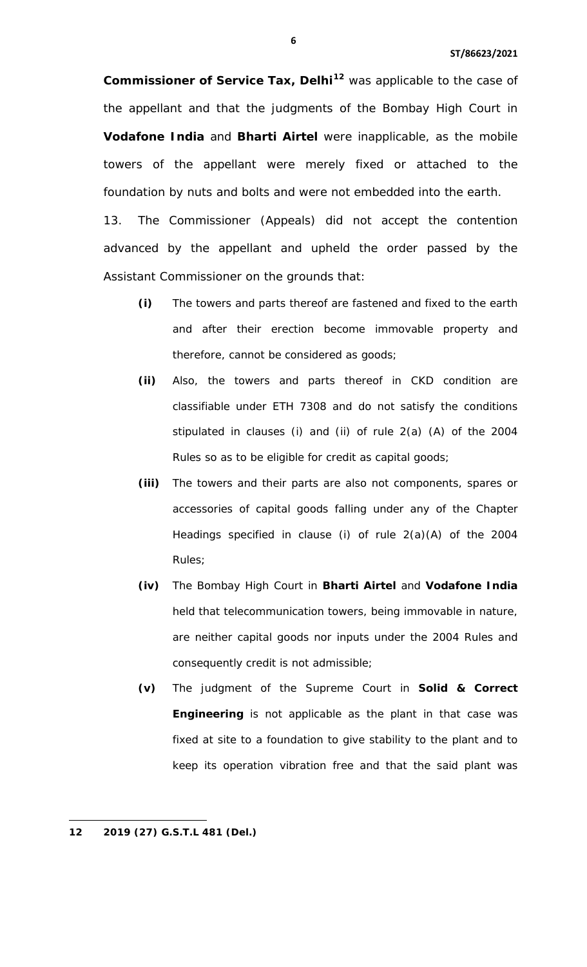**Commissioner of Service Tax, Delhi[12](#page-4-1)** was applicable to the case of the appellant and that the judgments of the Bombay High Court in **Vodafone India** and **Bharti Airtel** were inapplicable, as the mobile towers of the appellant were merely fixed or attached to the foundation by nuts and bolts and were not embedded into the earth.

13. The Commissioner (Appeals) did not accept the contention advanced by the appellant and upheld the order passed by the Assistant Commissioner on the grounds that:

- **(i)** The towers and parts thereof are fastened and fixed to the earth and after their erection become immovable property and therefore, cannot be considered as goods;
- **(ii)** Also, the towers and parts thereof in CKD condition are classifiable under ETH 7308 and do not satisfy the conditions stipulated in clauses (i) and (ii) of rule 2(a) (A) of the 2004 Rules so as to be eligible for credit as capital goods;
- **(iii)** The towers and their parts are also not components, spares or accessories of capital goods falling under any of the Chapter Headings specified in clause (i) of rule 2(a)(A) of the 2004 Rules;
- **(iv)** The Bombay High Court in **Bharti Airtel** and **Vodafone India** held that telecommunication towers, being immovable in nature, are neither capital goods nor inputs under the 2004 Rules and consequently credit is not admissible;
- **(v)** The judgment of the Supreme Court in **Solid & Correct Engineering** is not applicable as the plant in that case was fixed at site to a foundation to give stability to the plant and to keep its operation vibration free and that the said plant was

l

<span id="page-5-0"></span>**<sup>12 2019 (27)</sup> G.S.T.L 481 (Del.)**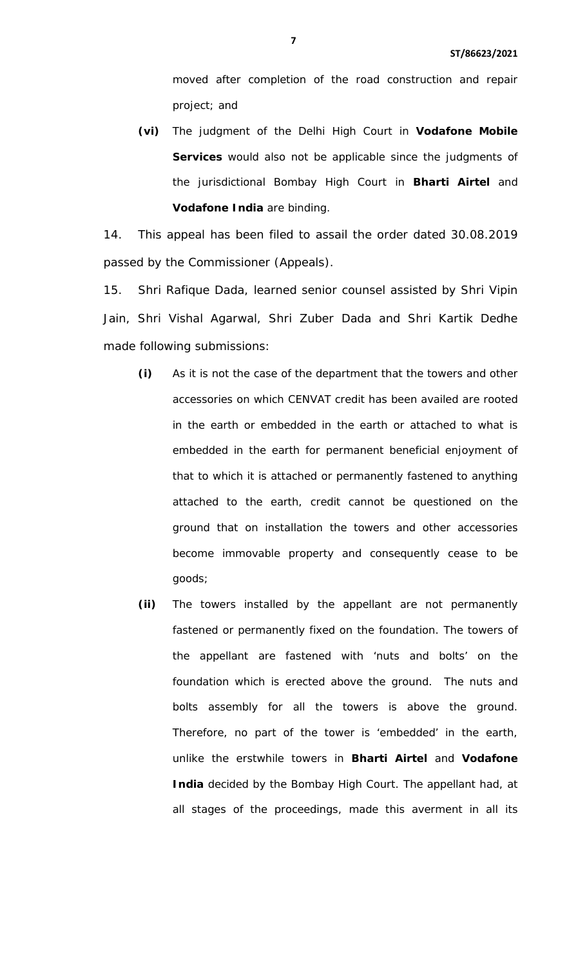moved after completion of the road construction and repair project; and

**(vi)** The judgment of the Delhi High Court in **Vodafone Mobile Services** would also not be applicable since the judgments of the jurisdictional Bombay High Court in **Bharti Airtel** and **Vodafone India** are binding.

14. This appeal has been filed to assail the order dated 30.08.2019 passed by the Commissioner (Appeals).

15. Shri Rafique Dada, learned senior counsel assisted by Shri Vipin Jain, Shri Vishal Agarwal, Shri Zuber Dada and Shri Kartik Dedhe made following submissions:

- **(i)** As it is not the case of the department that the towers and other accessories on which CENVAT credit has been availed are rooted in the earth or embedded in the earth or attached to what is embedded in the earth for permanent beneficial enjoyment of that to which it is attached or permanently fastened to anything attached to the earth, credit cannot be questioned on the ground that on installation the towers and other accessories become immovable property and consequently cease to be goods;
- **(ii)** The towers installed by the appellant are not permanently fastened or permanently fixed on the foundation. The towers of the appellant are fastened with 'nuts and bolts' on the foundation which is erected above the ground. The nuts and bolts assembly for all the towers is above the ground. Therefore, no part of the tower is 'embedded' in the earth, unlike the erstwhile towers in **Bharti Airtel** and **Vodafone India** decided by the Bombay High Court. The appellant had, at all stages of the proceedings, made this averment in all its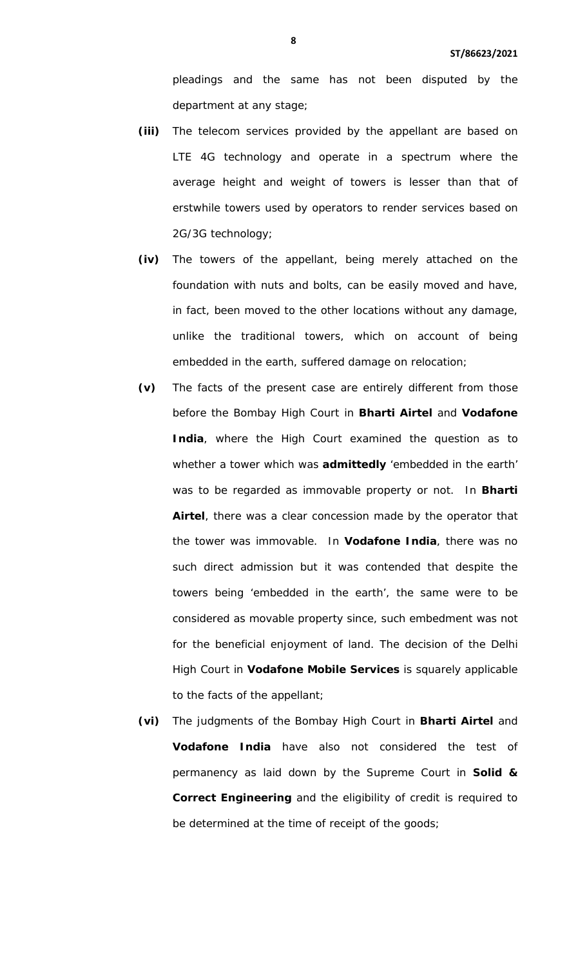pleadings and the same has not been disputed by the department at any stage;

- **(iii)** The telecom services provided by the appellant are based on LTE 4G technology and operate in a spectrum where the average height and weight of towers is lesser than that of erstwhile towers used by operators to render services based on 2G/3G technology;
- **(iv)** The towers of the appellant, being merely attached on the foundation with nuts and bolts, can be easily moved and have, in fact, been moved to the other locations without any damage, unlike the traditional towers, which on account of being embedded in the earth, suffered damage on relocation;
- **(v)** The facts of the present case are entirely different from those before the Bombay High Court in **Bharti Airtel** and **Vodafone India**, where the High Court examined the question as to whether a tower which was **admittedly** 'embedded in the earth' was to be regarded as immovable property or not. In **Bharti Airtel**, there was a clear concession made by the operator that the tower was immovable. In **Vodafone India**, there was no such direct admission but it was contended that despite the towers being 'embedded in the earth', the same were to be considered as movable property since, such embedment was not for the beneficial enjoyment of land. The decision of the Delhi High Court in **Vodafone Mobile Services** is squarely applicable to the facts of the appellant;
- **(vi)** The judgments of the Bombay High Court in **Bharti Airtel** and **Vodafone India** have also not considered the test of permanency as laid down by the Supreme Court in **Solid & Correct Engineering** and the eligibility of credit is required to be determined at the time of receipt of the goods;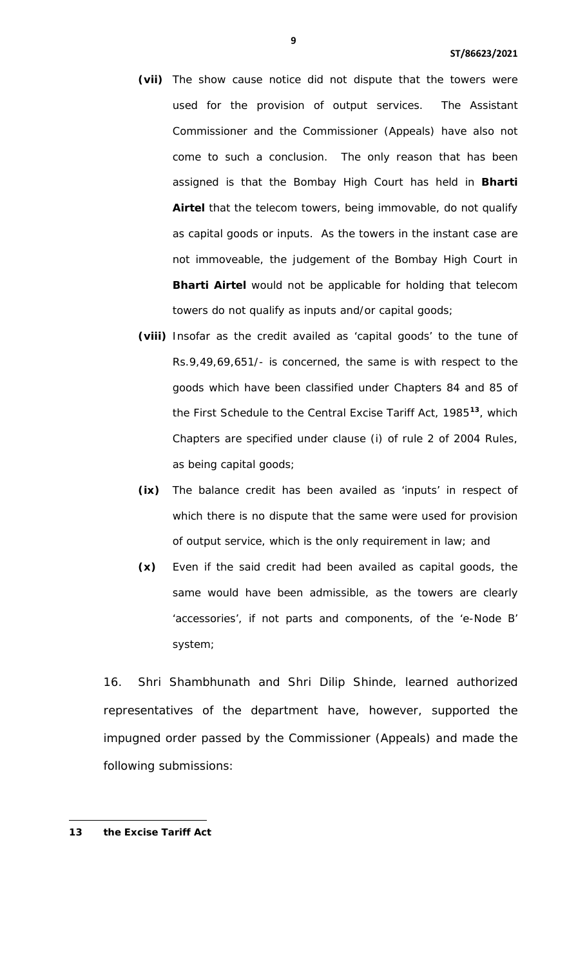- **(vii)** The show cause notice did not dispute that the towers were used for the provision of output services. The Assistant Commissioner and the Commissioner (Appeals) have also not come to such a conclusion. The only reason that has been assigned is that the Bombay High Court has held in **Bharti Airtel** that the telecom towers, being immovable, do not qualify as capital goods or inputs. As the towers in the instant case are not immoveable, the judgement of the Bombay High Court in **Bharti Airtel** would not be applicable for holding that telecom towers do not qualify as inputs and/or capital goods;
- **(viii)** Insofar as the credit availed as 'capital goods' to the tune of Rs.9,49,69,651/- is concerned, the same is with respect to the goods which have been classified under Chapters 84 and 85 of the First Schedule to the Central Excise Tariff Act, 1985**[13](#page-5-0)**, which Chapters are specified under clause (i) of rule 2 of 2004 Rules, as being capital goods;
- **(ix)** The balance credit has been availed as 'inputs' in respect of which there is no dispute that the same were used for provision of output service, which is the only requirement in law; and
- **(x)** Even if the said credit had been availed as capital goods, the same would have been admissible, as the towers are clearly 'accessories', if not parts and components, of the 'e-Node B' system;

16. Shri Shambhunath and Shri Dilip Shinde, learned authorized representatives of the department have, however, supported the impugned order passed by the Commissioner (Appeals) and made the following submissions:

<span id="page-8-0"></span>**13 the Excise Tariff Act**

l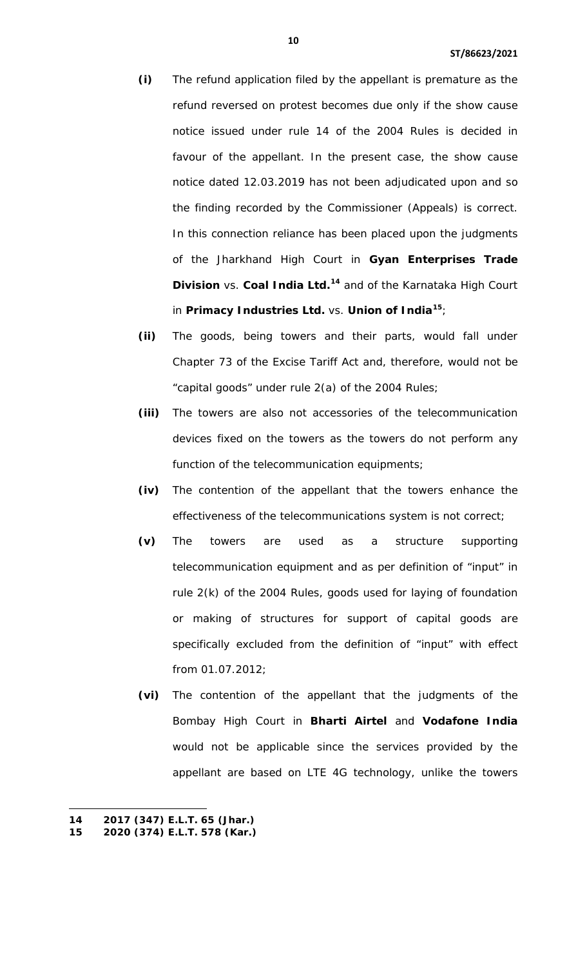- **(i)** The refund application filed by the appellant is premature as the refund reversed on protest becomes due only if the show cause notice issued under rule 14 of the 2004 Rules is decided in favour of the appellant. In the present case, the show cause notice dated 12.03.2019 has not been adjudicated upon and so the finding recorded by the Commissioner (Appeals) is correct. In this connection reliance has been placed upon the judgments of the Jharkhand High Court in **Gyan Enterprises Trade Division** vs. **Coal India Ltd.[14](#page-8-0)** and of the Karnataka High Court in **Primacy Industries Ltd.** vs. **Union of India[15](#page-9-0)**;
- **(ii)** The goods, being towers and their parts, would fall under Chapter 73 of the Excise Tariff Act and, therefore, would not be "capital goods" under rule 2(a) of the 2004 Rules;
- **(iii)** The towers are also not accessories of the telecommunication devices fixed on the towers as the towers do not perform any function of the telecommunication equipments;
- **(iv)** The contention of the appellant that the towers enhance the effectiveness of the telecommunications system is not correct;
- **(v)** The towers are used as a structure supporting telecommunication equipment and as per definition of "input" in rule 2(k) of the 2004 Rules, goods used for laying of foundation or making of structures for support of capital goods are specifically excluded from the definition of "input" with effect from 01.07.2012;
- **(vi)** The contention of the appellant that the judgments of the Bombay High Court in **Bharti Airtel** and **Vodafone India** would not be applicable since the services provided by the appellant are based on LTE 4G technology, unlike the towers

 $\overline{a}$ 

<span id="page-9-0"></span>**<sup>14 2017 (347)</sup> E.L.T. 65 (Jhar.)** 

<span id="page-9-1"></span>**<sup>15</sup> 2020 (374) E.L.T. 578 (Kar.)**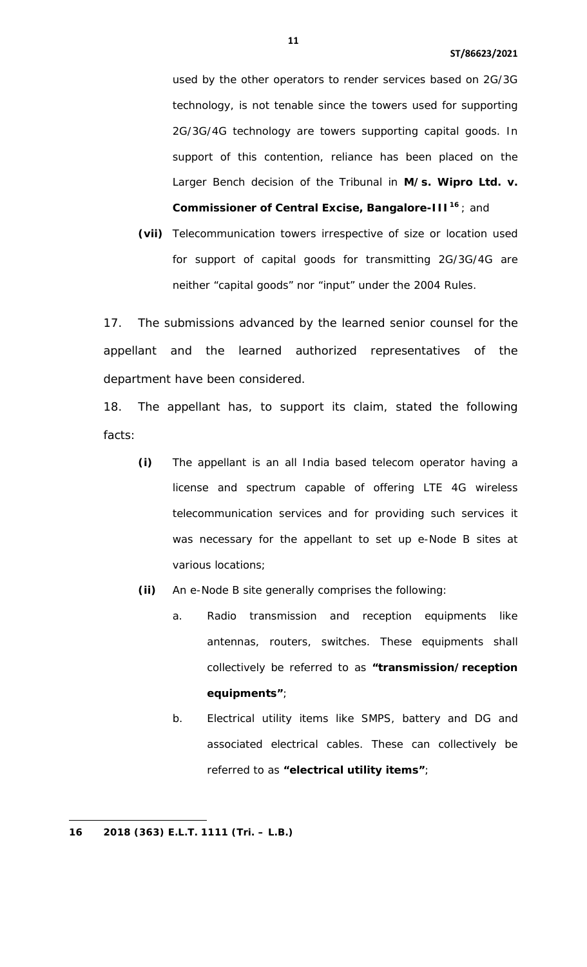used by the other operators to render services based on 2G/3G technology, is not tenable since the towers used for supporting 2G/3G/4G technology are towers supporting capital goods. In support of this contention, reliance has been placed on the Larger Bench decision of the Tribunal in **M/s. Wipro Ltd. v. Commissioner of Central Excise, Bangalore-III[16](#page-9-1)** ; and

**(vii)** Telecommunication towers irrespective of size or location used for support of capital goods for transmitting 2G/3G/4G are neither "capital goods" nor "input" under the 2004 Rules.

17. The submissions advanced by the learned senior counsel for the appellant and the learned authorized representatives of the department have been considered.

18. The appellant has, to support its claim, stated the following facts:

- **(i)** The appellant is an all India based telecom operator having a license and spectrum capable of offering LTE 4G wireless telecommunication services and for providing such services it was necessary for the appellant to set up e-Node B sites at various locations;
- **(ii)** An e-Node B site generally comprises the following:
	- a. Radio transmission and reception equipments like antennas, routers, switches. These equipments shall collectively be referred to as **"transmission/reception equipments"**;
	- b. Electrical utility items like SMPS, battery and DG and associated electrical cables. These can collectively be referred to as **"electrical utility items"**;

<span id="page-10-0"></span>l

**<sup>16</sup> 2018 (363) E.L.T. 1111 (Tri. – L.B.)**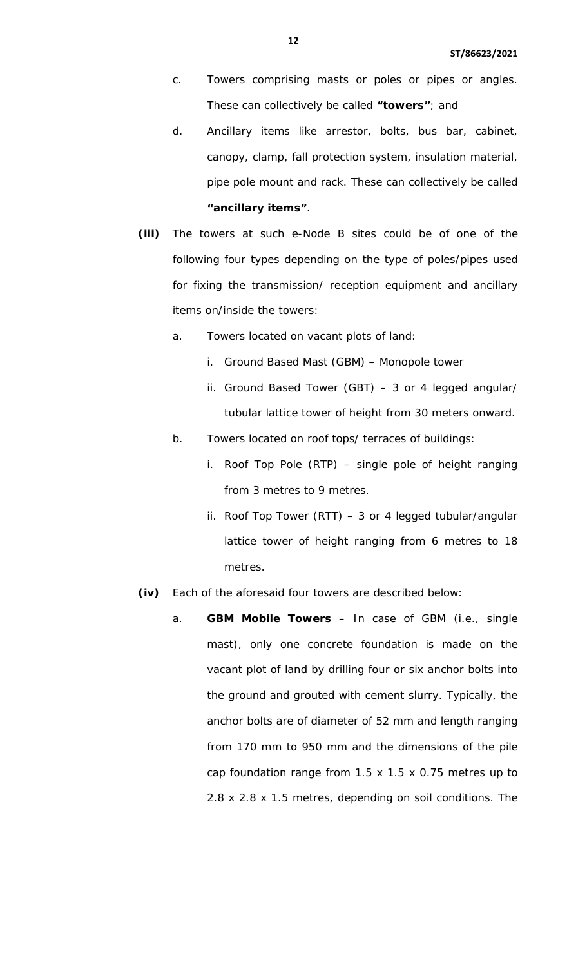- c. Towers comprising masts or poles or pipes or angles. These can collectively be called **"towers"**; and
- d. Ancillary items like arrestor, bolts, bus bar, cabinet, canopy, clamp, fall protection system, insulation material, pipe pole mount and rack. These can collectively be called **"ancillary items"**.
- **(iii)** The towers at such e-Node B sites could be of one of the following four types depending on the type of poles/pipes used for fixing the transmission/ reception equipment and ancillary items on/inside the towers:
	- a. Towers located on vacant plots of land:
		- i. Ground Based Mast (GBM) Monopole tower
		- ii. Ground Based Tower (GBT) 3 or 4 legged angular/ tubular lattice tower of height from 30 meters onward.
	- b. Towers located on roof tops/ terraces of buildings:
		- i. Roof Top Pole (RTP) single pole of height ranging from 3 metres to 9 metres.
		- ii. Roof Top Tower (RTT) 3 or 4 legged tubular/angular lattice tower of height ranging from 6 metres to 18 metres.
- **(iv)** Each of the aforesaid four towers are described below:
	- a. **GBM Mobile Towers** In case of GBM (i.e., single mast), only one concrete foundation is made on the vacant plot of land by drilling four or six anchor bolts into the ground and grouted with cement slurry. Typically, the anchor bolts are of diameter of 52 mm and length ranging from 170 mm to 950 mm and the dimensions of the pile cap foundation range from 1.5 x 1.5 x 0.75 metres up to 2.8 x 2.8 x 1.5 metres, depending on soil conditions. The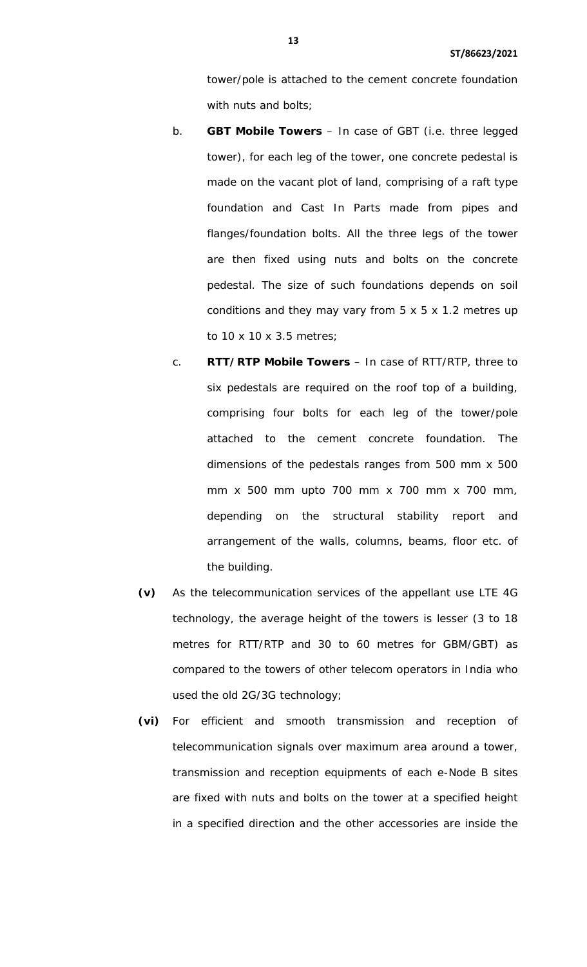tower/pole is attached to the cement concrete foundation with nuts and bolts;

- b. **GBT Mobile Towers** In case of GBT (i.e. three legged tower), for each leg of the tower, one concrete pedestal is made on the vacant plot of land, comprising of a raft type foundation and Cast In Parts made from pipes and flanges/foundation bolts. All the three legs of the tower are then fixed using nuts and bolts on the concrete pedestal. The size of such foundations depends on soil conditions and they may vary from 5 x 5 x 1.2 metres up to 10 x 10 x 3.5 metres;
- c. **RTT/RTP Mobile Towers** In case of RTT/RTP, three to six pedestals are required on the roof top of a building, comprising four bolts for each leg of the tower/pole attached to the cement concrete foundation. The dimensions of the pedestals ranges from 500 mm x 500 mm x 500 mm upto 700 mm x 700 mm x 700 mm, depending on the structural stability report and arrangement of the walls, columns, beams, floor etc. of the building.
- **(v)** As the telecommunication services of the appellant use LTE 4G technology, the average height of the towers is lesser (3 to 18 metres for RTT/RTP and 30 to 60 metres for GBM/GBT) as compared to the towers of other telecom operators in India who used the old 2G/3G technology;
- **(vi)** For efficient and smooth transmission and reception of telecommunication signals over maximum area around a tower, transmission and reception equipments of each e-Node B sites are fixed with nuts and bolts on the tower at a specified height in a specified direction and the other accessories are inside the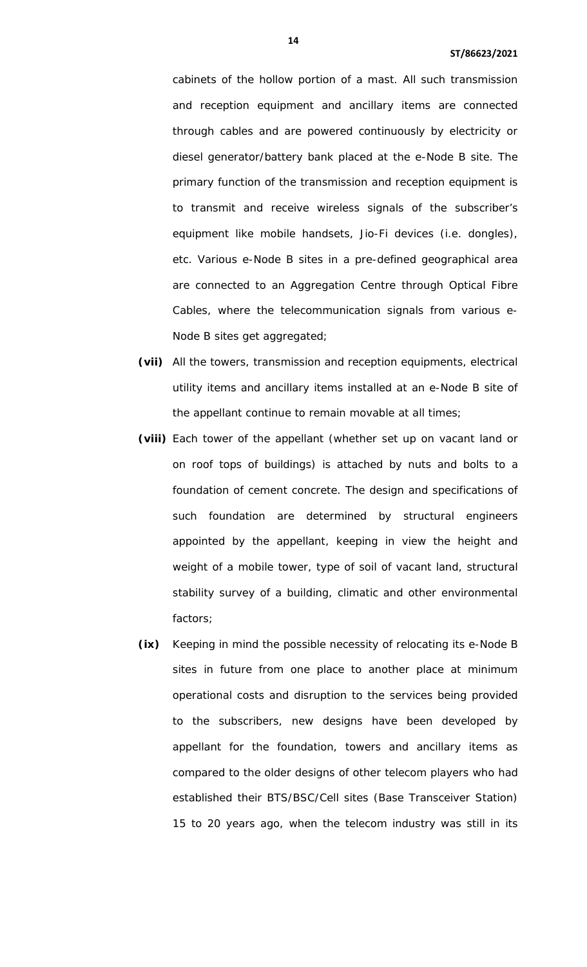cabinets of the hollow portion of a mast. All such transmission and reception equipment and ancillary items are connected through cables and are powered continuously by electricity or diesel generator/battery bank placed at the e-Node B site. The primary function of the transmission and reception equipment is to transmit and receive wireless signals of the subscriber's equipment like mobile handsets, Jio-Fi devices (i.e. dongles), etc. Various e-Node B sites in a pre-defined geographical area are connected to an Aggregation Centre through Optical Fibre Cables, where the telecommunication signals from various e-Node B sites get aggregated;

- **(vii)** All the towers, transmission and reception equipments, electrical utility items and ancillary items installed at an e-Node B site of the appellant continue to remain movable at all times;
- **(viii)** Each tower of the appellant (whether set up on vacant land or on roof tops of buildings) is attached by nuts and bolts to a foundation of cement concrete. The design and specifications of such foundation are determined by structural engineers appointed by the appellant, keeping in view the height and weight of a mobile tower, type of soil of vacant land, structural stability survey of a building, climatic and other environmental factors;
- **(ix)** Keeping in mind the possible necessity of relocating its e-Node B sites in future from one place to another place at minimum operational costs and disruption to the services being provided to the subscribers, new designs have been developed by appellant for the foundation, towers and ancillary items as compared to the older designs of other telecom players who had established their BTS/BSC/Cell sites (Base Transceiver Station) 15 to 20 years ago, when the telecom industry was still in its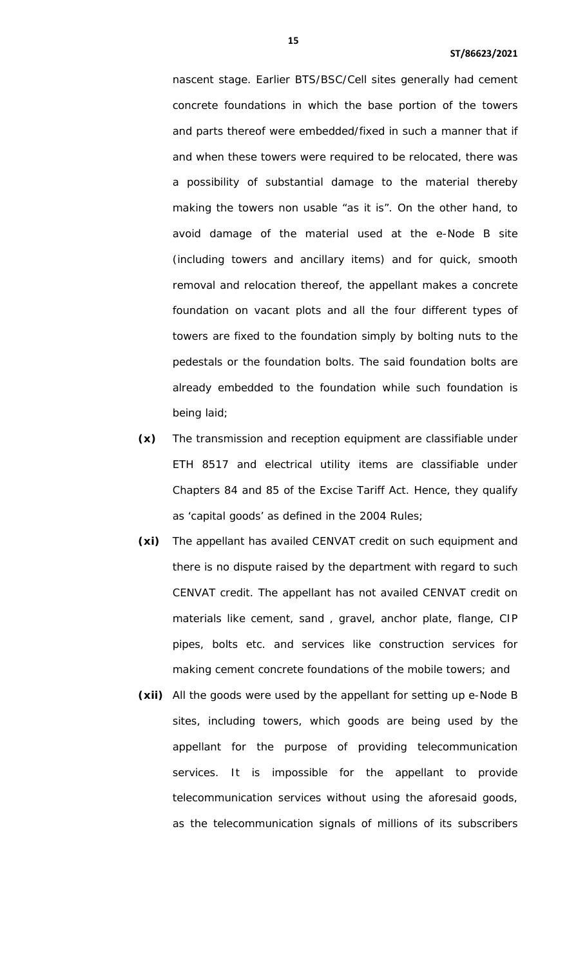nascent stage. Earlier BTS/BSC/Cell sites generally had cement concrete foundations in which the base portion of the towers and parts thereof were embedded/fixed in such a manner that if and when these towers were required to be relocated, there was a possibility of substantial damage to the material thereby making the towers non usable "as it is". On the other hand, to avoid damage of the material used at the e-Node B site (including towers and ancillary items) and for quick, smooth removal and relocation thereof, the appellant makes a concrete foundation on vacant plots and all the four different types of towers are fixed to the foundation simply by bolting nuts to the pedestals or the foundation bolts. The said foundation bolts are already embedded to the foundation while such foundation is being laid;

- **(x)** The transmission and reception equipment are classifiable under ETH 8517 and electrical utility items are classifiable under Chapters 84 and 85 of the Excise Tariff Act. Hence, they qualify as 'capital goods' as defined in the 2004 Rules;
- **(xi)** The appellant has availed CENVAT credit on such equipment and there is no dispute raised by the department with regard to such CENVAT credit. The appellant has not availed CENVAT credit on materials like cement, sand , gravel, anchor plate, flange, CIP pipes, bolts etc. and services like construction services for making cement concrete foundations of the mobile towers; and
- **(xii)** All the goods were used by the appellant for setting up e-Node B sites, including towers, which goods are being used by the appellant for the purpose of providing telecommunication services. It is impossible for the appellant to provide telecommunication services without using the aforesaid goods, as the telecommunication signals of millions of its subscribers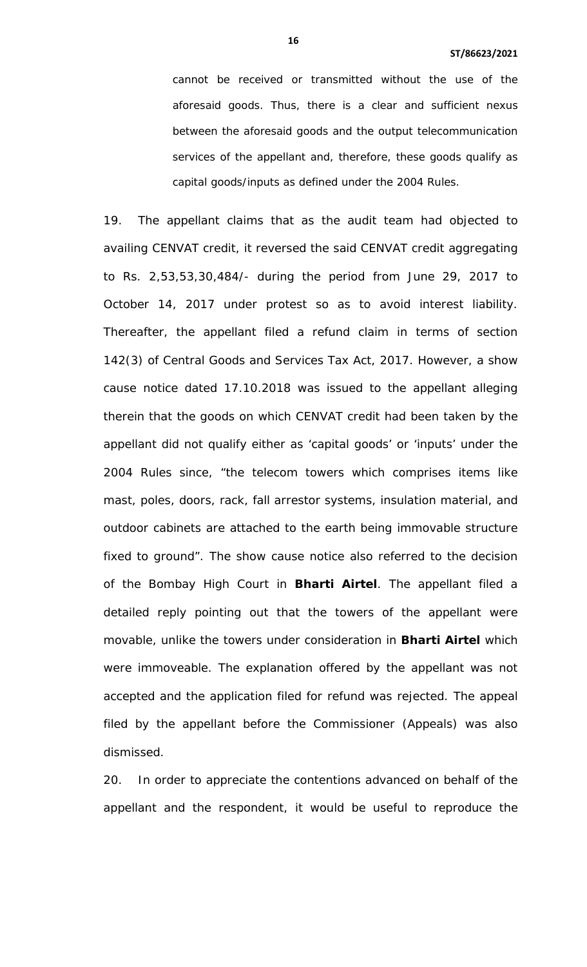cannot be received or transmitted without the use of the aforesaid goods. Thus, there is a clear and sufficient nexus between the aforesaid goods and the output telecommunication services of the appellant and, therefore, these goods qualify as capital goods/inputs as defined under the 2004 Rules.

19. The appellant claims that as the audit team had objected to availing CENVAT credit, it reversed the said CENVAT credit aggregating to Rs. 2,53,53,30,484/- during the period from June 29, 2017 to October 14, 2017 under protest so as to avoid interest liability. Thereafter, the appellant filed a refund claim in terms of section 142(3) of Central Goods and Services Tax Act, 2017. However, a show cause notice dated 17.10.2018 was issued to the appellant alleging therein that the goods on which CENVAT credit had been taken by the appellant did not qualify either as 'capital goods' or 'inputs' under the 2004 Rules since, "the telecom towers which comprises items like mast, poles, doors, rack, fall arrestor systems, insulation material, and outdoor cabinets are attached to the earth being immovable structure fixed to ground". The show cause notice also referred to the decision of the Bombay High Court in **Bharti Airtel**. The appellant filed a detailed reply pointing out that the towers of the appellant were movable, unlike the towers under consideration in **Bharti Airtel** which were immoveable. The explanation offered by the appellant was not accepted and the application filed for refund was rejected. The appeal filed by the appellant before the Commissioner (Appeals) was also dismissed.

20. In order to appreciate the contentions advanced on behalf of the appellant and the respondent, it would be useful to reproduce the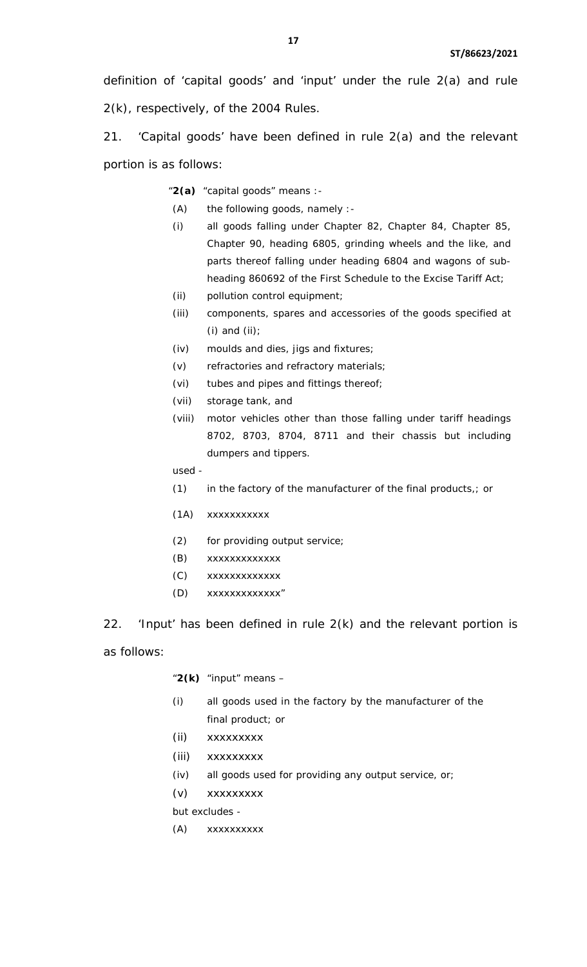definition of 'capital goods' and 'input' under the rule 2(a) and rule 2(k), respectively, of the 2004 Rules.

21. 'Capital goods' have been defined in rule 2(a) and the relevant portion is as follows:

"**2(a)** "capital goods" means :-

- (A) the following goods, namely :-
- (i) all goods falling under Chapter 82, Chapter 84, Chapter 85, Chapter 90, heading 6805, grinding wheels and the like, and parts thereof falling under heading 6804 and wagons of subheading 860692 of the First Schedule to the Excise Tariff Act;
- (ii) pollution control equipment;
- (iii) components, spares and accessories of the goods specified at (i) and (ii);
- (iv) moulds and dies, jigs and fixtures;
- (v) refractories and refractory materials;
- (vi) tubes and pipes and fittings thereof;
- (vii) storage tank, and
- (viii) motor vehicles other than those falling under tariff headings 8702, 8703, 8704, 8711 and their chassis but including dumpers and tippers.

used -

- (1) in the factory of the manufacturer of the final products,; or
- (1A) xxxxxxxxxxx
- (2) for providing output service;
- (B) xxxxxxxxxxxxx
- (C) xxxxxxxxxxxxx
- (D) xxxxxxxxxxxxx"

22. 'Input' has been defined in rule  $2(k)$  and the relevant portion is

as follows:

"**2(k)** "input" means –

- (i) all goods used in the factory by the manufacturer of the final product; or
- (ii) xxxxxxxxx
- (iii) xxxxxxxxx
- (iv) all goods used for providing any output service, or;
- (v) xxxxxxxxx

but excludes -

(A) xxxxxxxxxx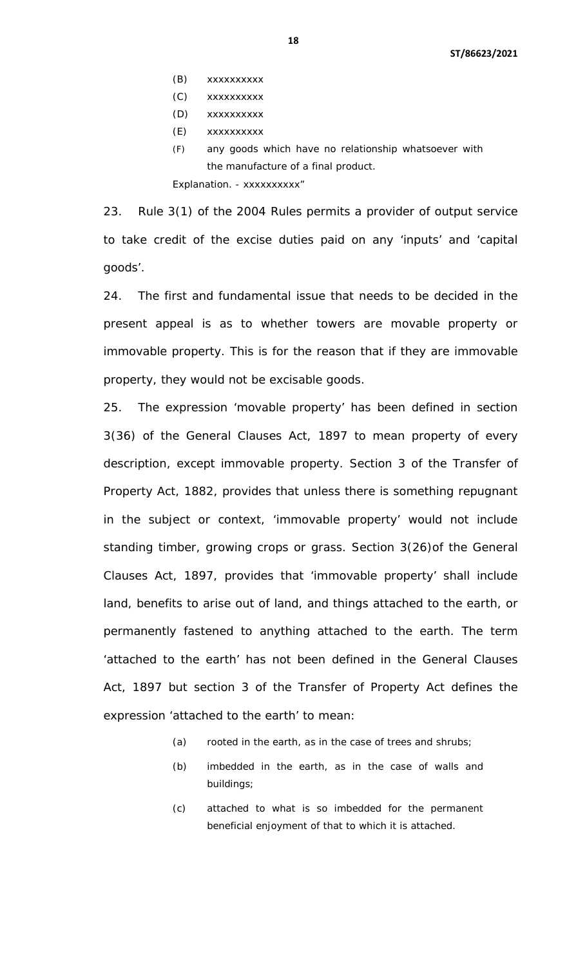- (B) xxxxxxxxxx
- (C) xxxxxxxxxx
- (D) xxxxxxxxxx
- (E) xxxxxxxxxx
- (F) any goods which have no relationship whatsoever with the manufacture of a final product.

Explanation. - xxxxxxxxxx"

23. Rule 3(1) of the 2004 Rules permits a provider of output service to take credit of the excise duties paid on any 'inputs' and 'capital goods'.

24. The first and fundamental issue that needs to be decided in the present appeal is as to whether towers are movable property or immovable property. This is for the reason that if they are immovable property, they would not be excisable goods.

25. The expression 'movable property' has been defined in section 3(36) of the General Clauses Act, 1897 to mean property of every description, except immovable property. Section 3 of the Transfer of Property Act, 1882, provides that unless there is something repugnant in the subject or context, 'immovable property' would not include standing timber, growing crops or grass. Section 3(26)of the General Clauses Act, 1897, provides that 'immovable property' shall include land, benefits to arise out of land, and things attached to the earth, or permanently fastened to anything attached to the earth. The term 'attached to the earth' has not been defined in the General Clauses Act, 1897 but section 3 of the Transfer of Property Act defines the expression 'attached to the earth' to mean:

- (a) rooted in the earth, as in the case of trees and shrubs;
- (b) imbedded in the earth, as in the case of walls and buildings;
- (c) attached to what is so imbedded for the permanent beneficial enjoyment of that to which it is attached.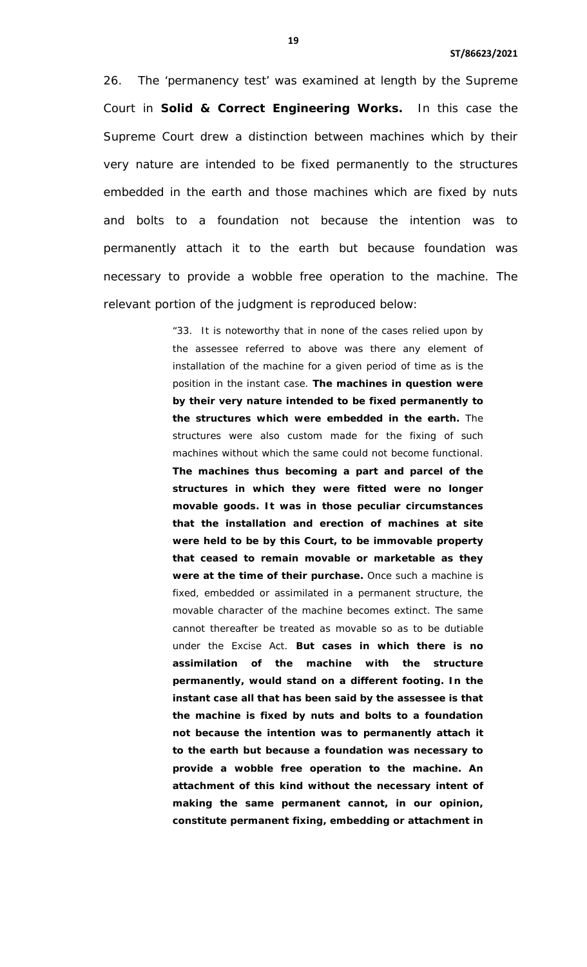26. The 'permanency test' was examined at length by the Supreme Court in **Solid & Correct Engineering Works.** In this case the Supreme Court drew a distinction between machines which by their very nature are intended to be fixed permanently to the structures embedded in the earth and those machines which are fixed by nuts and bolts to a foundation not because the intention was to permanently attach it to the earth but because foundation was necessary to provide a wobble free operation to the machine. The relevant portion of the judgment is reproduced below:

> "33. It is noteworthy that in none of the cases relied upon by the assessee referred to above was there any element of installation of the machine for a given period of time as is the position in the instant case. **The machines in question were by their very nature intended to be fixed permanently to the structures which were embedded in the earth.** The structures were also custom made for the fixing of such machines without which the same could not become functional. **The machines thus becoming a part and parcel of the structures in which they were fitted were no longer movable goods. It was in those peculiar circumstances that the installation and erection of machines at site were held to be by this Court, to be immovable property that ceased to remain movable or marketable as they**  were at the time of their purchase. Once such a machine is fixed, embedded or assimilated in a permanent structure, the movable character of the machine becomes extinct. The same cannot thereafter be treated as movable so as to be dutiable under the Excise Act. **But cases in which there is no assimilation of the machine with the structure permanently, would stand on a different footing. In the instant case all that has been said by the assessee is that the machine is fixed by nuts and bolts to a foundation not because the intention was to permanently attach it to the earth but because a foundation was necessary to provide a wobble free operation to the machine. An attachment of this kind without the necessary intent of making the same permanent cannot, in our opinion, constitute permanent fixing, embedding or attachment in**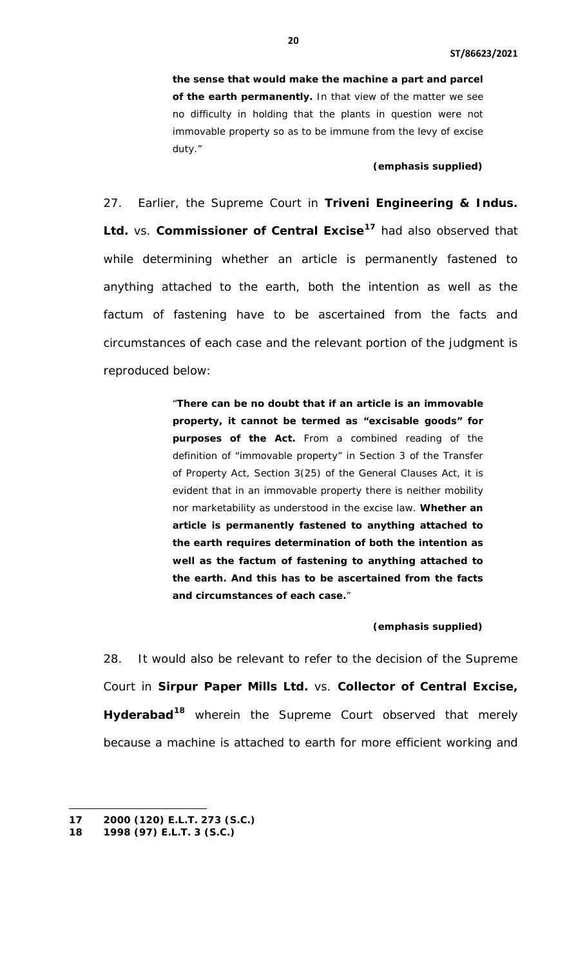**the sense that would make the machine a part and parcel of the earth permanently.** In that view of the matter we see no difficulty in holding that the plants in question were not immovable property so as to be immune from the levy of excise duty."

#### **(emphasis supplied)**

27. Earlier, the Supreme Court in **Triveni Engineering & Indus. Ltd.** vs. **Commissioner of Central Excise[17](#page-10-0)** had also observed that while determining whether an article is permanently fastened to anything attached to the earth, both the intention as well as the factum of fastening have to be ascertained from the facts and circumstances of each case and the relevant portion of the judgment is reproduced below:

> "**There can be no doubt that if an article is an immovable property, it cannot be termed as "excisable goods" for purposes of the Act.** From a combined reading of the definition of "immovable property" in Section 3 of the Transfer of Property Act, Section 3(25) of the General Clauses Act, it is evident that in an immovable property there is neither mobility nor marketability as understood in the excise law. **Whether an article is permanently fastened to anything attached to the earth requires determination of both the intention as well as the factum of fastening to anything attached to the earth. And this has to be ascertained from the facts and circumstances of each case.**"

## **(emphasis supplied)**

28. It would also be relevant to refer to the decision of the Supreme Court in **Sirpur Paper Mills Ltd.** vs. **Collector of Central Excise, Hyderabad[18](#page-19-0)** wherein the Supreme Court observed that merely because a machine is attached to earth for more efficient working and

<span id="page-19-0"></span> $\overline{a}$ **17 2000 (120) E.L.T. 273 (S.C.)** 

**<sup>18</sup> 1998 (97) E.L.T. 3 (S.C.)**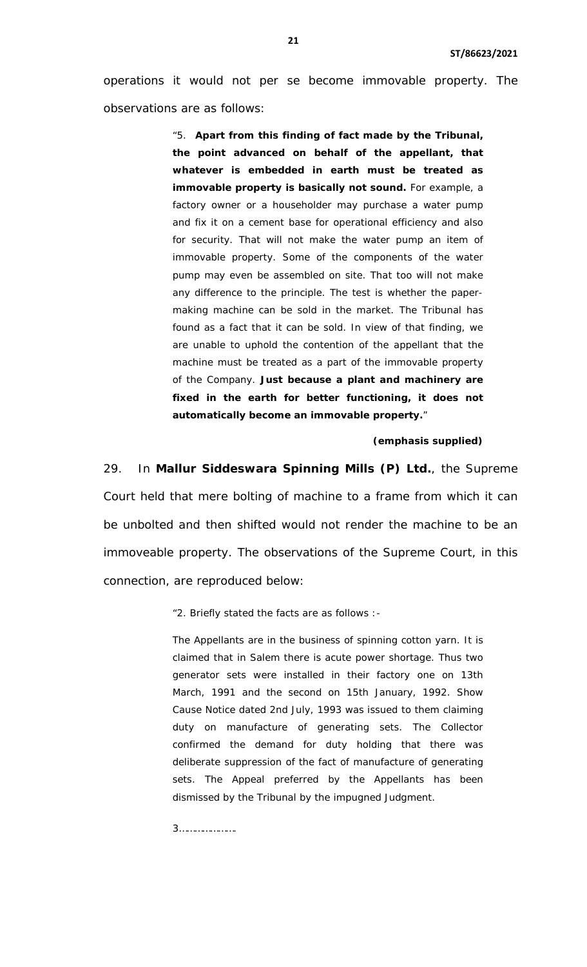operations it would not per se become immovable property. The observations are as follows:

> "5. **Apart from this finding of fact made by the Tribunal, the point advanced on behalf of the appellant, that whatever is embedded in earth must be treated as immovable property is basically not sound.** For example, a factory owner or a householder may purchase a water pump and fix it on a cement base for operational efficiency and also for security. That will not make the water pump an item of immovable property. Some of the components of the water pump may even be assembled on site. That too will not make any difference to the principle. The test is whether the papermaking machine can be sold in the market. The Tribunal has found as a fact that it can be sold. In view of that finding, we are unable to uphold the contention of the appellant that the machine must be treated as a part of the immovable property of the Company. **Just because a plant and machinery are fixed in the earth for better functioning, it does not automatically become an immovable property.**"

#### **(emphasis supplied)**

29. In **Mallur Siddeswara Spinning Mills (P) Ltd.**, the Supreme Court held that mere bolting of machine to a frame from which it can be unbolted and then shifted would not render the machine to be an immoveable property. The observations of the Supreme Court, in this connection, are reproduced below:

"2. Briefly stated the facts are as follows :-

The Appellants are in the business of spinning cotton yarn. It is claimed that in Salem there is acute power shortage. Thus two generator sets were installed in their factory one on 13th March, 1991 and the second on 15th January, 1992. Show Cause Notice dated 2nd July, 1993 was issued to them claiming duty on manufacture of generating sets. The Collector confirmed the demand for duty holding that there was deliberate suppression of the fact of manufacture of generating sets. The Appeal preferred by the Appellants has been dismissed by the Tribunal by the impugned Judgment.

3………………….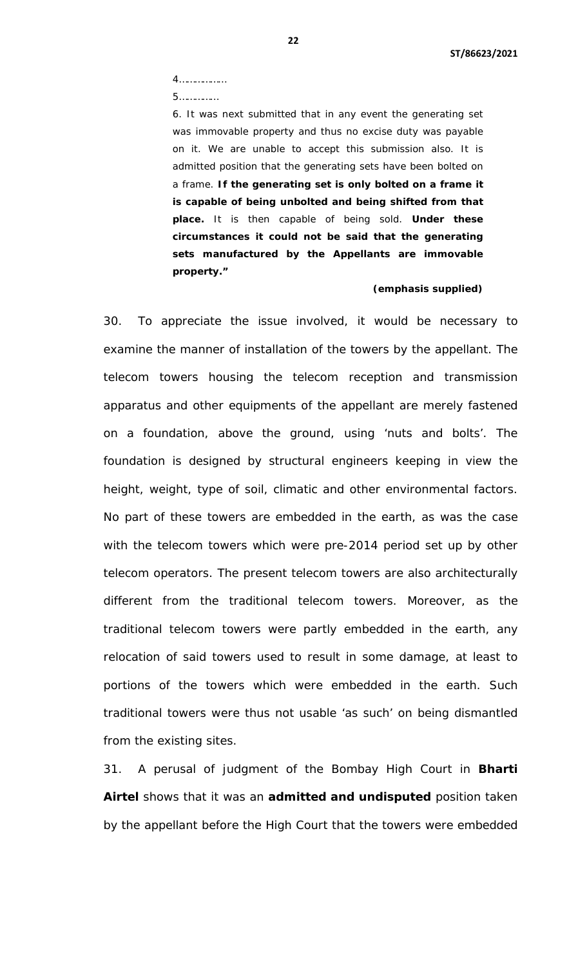4………………

5……………

6. It was next submitted that in any event the generating set was immovable property and thus no excise duty was payable on it. We are unable to accept this submission also. It is admitted position that the generating sets have been bolted on a frame. **If the generating set is only bolted on a frame it is capable of being unbolted and being shifted from that place.** It is then capable of being sold. **Under these circumstances it could not be said that the generating sets manufactured by the Appellants are immovable property."**

#### **(emphasis supplied)**

30. To appreciate the issue involved, it would be necessary to examine the manner of installation of the towers by the appellant. The telecom towers housing the telecom reception and transmission apparatus and other equipments of the appellant are merely fastened on a foundation, above the ground, using 'nuts and bolts'. The foundation is designed by structural engineers keeping in view the height, weight, type of soil, climatic and other environmental factors. No part of these towers are embedded in the earth, as was the case with the telecom towers which were pre-2014 period set up by other telecom operators. The present telecom towers are also architecturally different from the traditional telecom towers. Moreover, as the traditional telecom towers were partly embedded in the earth, any relocation of said towers used to result in some damage, at least to portions of the towers which were embedded in the earth. Such traditional towers were thus not usable 'as such' on being dismantled from the existing sites.

31. A perusal of judgment of the Bombay High Court in **Bharti Airtel** shows that it was an **admitted and undisputed** position taken by the appellant before the High Court that the towers were embedded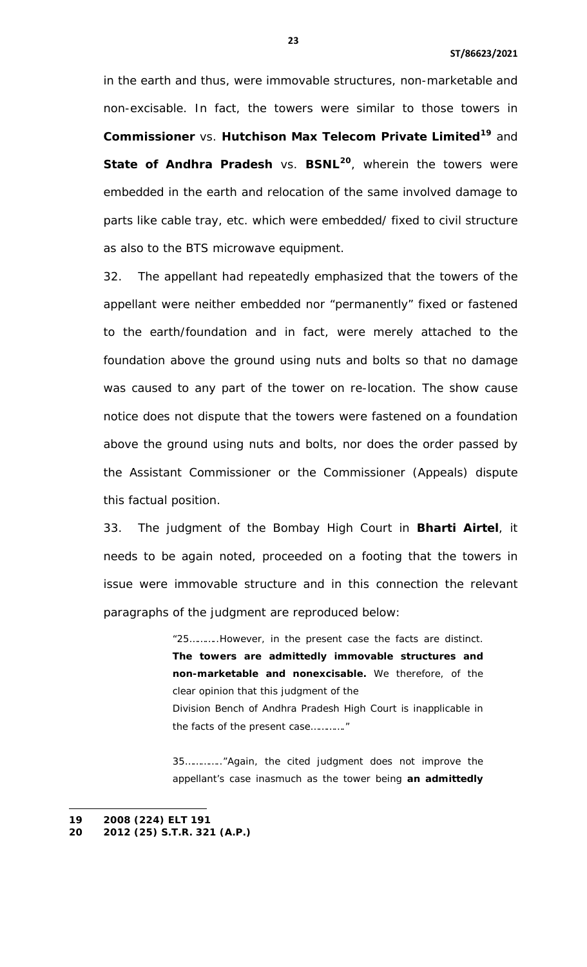in the earth and thus, were immovable structures, non-marketable and non-excisable. In fact, the towers were similar to those towers in **Commissioner** vs. **Hutchison Max Telecom Private Limited[19](#page-19-0)** and **State of Andhra Pradesh** vs. **BSNL[20](#page-22-0)**, wherein the towers were embedded in the earth and relocation of the same involved damage to parts like cable tray, etc. which were embedded/ fixed to civil structure as also to the BTS microwave equipment.

32. The appellant had repeatedly emphasized that the towers of the appellant were neither embedded nor "permanently" fixed or fastened to the earth/foundation and in fact, were merely attached to the foundation above the ground using nuts and bolts so that no damage was caused to any part of the tower on re-location. The show cause notice does not dispute that the towers were fastened on a foundation above the ground using nuts and bolts, nor does the order passed by the Assistant Commissioner or the Commissioner (Appeals) dispute this factual position.

33. The judgment of the Bombay High Court in **Bharti Airtel**, it needs to be again noted, proceeded on a footing that the towers in issue were immovable structure and in this connection the relevant paragraphs of the judgment are reproduced below:

> "25………..However, in the present case the facts are distinct. **The towers are admittedly immovable structures and non-marketable and nonexcisable.** We therefore, of the clear opinion that this judgment of the

> Division Bench of Andhra Pradesh High Court is inapplicable in the facts of the present case…………."

> 35………….."Again, the cited judgment does not improve the appellant's case inasmuch as the tower being **an admittedly**

 $\overline{a}$ 

<span id="page-22-0"></span>**<sup>19</sup> 2008 (224) ELT 191**

<span id="page-22-1"></span>**<sup>20</sup> 2012 (25) S.T.R. 321 (A.P.)**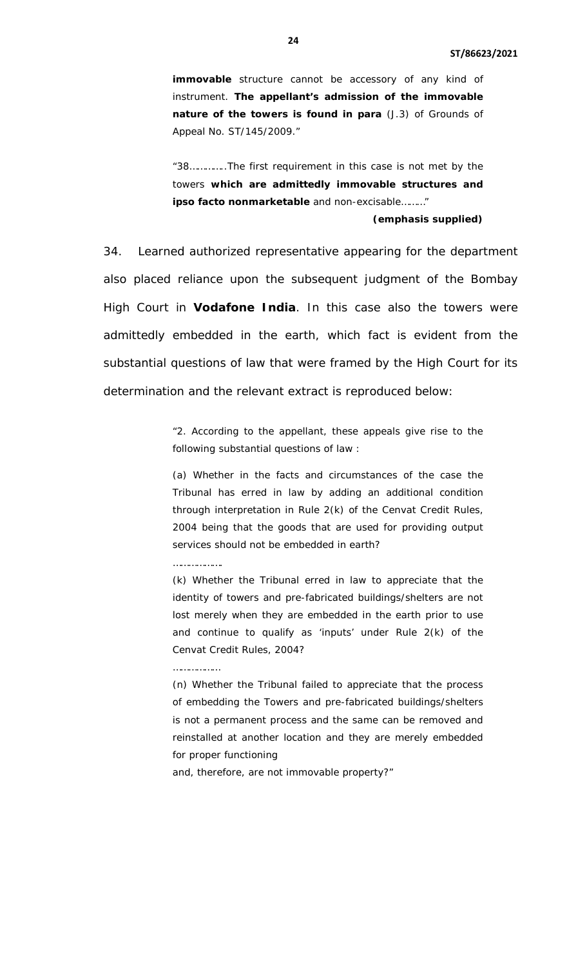**immovable** structure cannot be accessory of any kind of instrument. **The appellant's admission of the immovable nature of the towers is found in para** (J.3) of Grounds of Appeal No. ST/145/2009."

"38…………..The first requirement in this case is not met by the towers **which are admittedly immovable structures and ipso facto nonmarketable** and non-excisable………"

## **(emphasis supplied)**

34. Learned authorized representative appearing for the department also placed reliance upon the subsequent judgment of the Bombay High Court in **Vodafone India**. In this case also the towers were admittedly embedded in the earth, which fact is evident from the substantial questions of law that were framed by the High Court for its determination and the relevant extract is reproduced below:

> "2. According to the appellant, these appeals give rise to the following substantial questions of law :

> (a) Whether in the facts and circumstances of the case the Tribunal has erred in law by adding an additional condition through interpretation in Rule 2(k) of the Cenvat Credit Rules, 2004 being that the goods that are used for providing output services should not be embedded in earth?

#### ……………….

(k) Whether the Tribunal erred in law to appreciate that the identity of towers and pre-fabricated buildings/shelters are not lost merely when they are embedded in the earth prior to use and continue to qualify as 'inputs' under Rule 2(k) of the Cenvat Credit Rules, 2004?

#### ……………………

(n) Whether the Tribunal failed to appreciate that the process of embedding the Towers and pre-fabricated buildings/shelters is not a permanent process and the same can be removed and reinstalled at another location and they are merely embedded for proper functioning

and, therefore, are not immovable property?"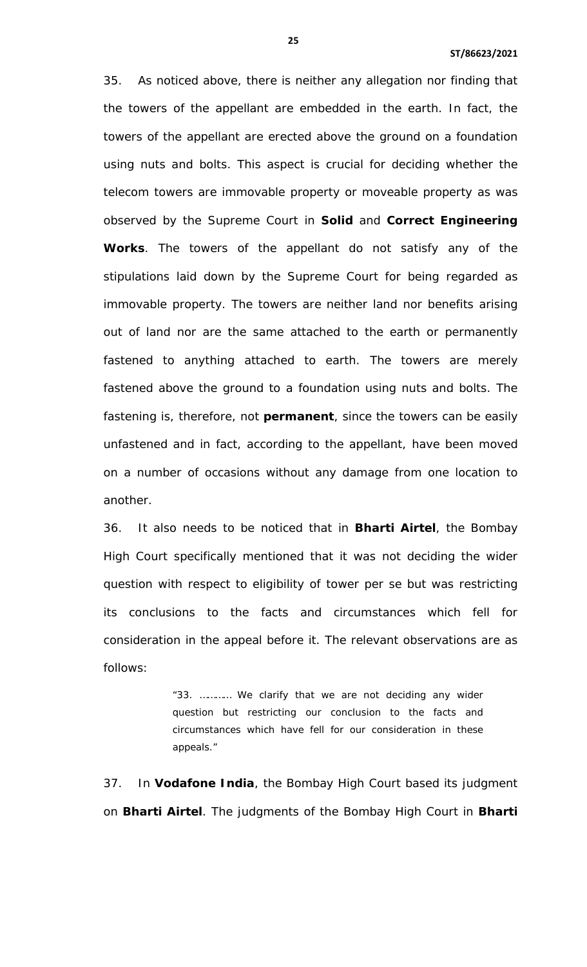35. As noticed above, there is neither any allegation nor finding that the towers of the appellant are embedded in the earth. In fact, the towers of the appellant are erected above the ground on a foundation using nuts and bolts. This aspect is crucial for deciding whether the telecom towers are immovable property or moveable property as was observed by the Supreme Court in **Solid** and **Correct Engineering Works**. The towers of the appellant do not satisfy any of the stipulations laid down by the Supreme Court for being regarded as immovable property. The towers are neither land nor benefits arising out of land nor are the same attached to the earth or permanently fastened to anything attached to earth. The towers are merely fastened above the ground to a foundation using nuts and bolts. The fastening is, therefore, not **permanent**, since the towers can be easily unfastened and in fact, according to the appellant, have been moved on a number of occasions without any damage from one location to another.

36. It also needs to be noticed that in **Bharti Airtel**, the Bombay High Court specifically mentioned that it was not deciding the wider question with respect to eligibility of tower per se but was restricting its conclusions to the facts and circumstances which fell for consideration in the appeal before it. The relevant observations are as follows:

> "33. ………… We clarify that we are not deciding any wider question but restricting our conclusion to the facts and circumstances which have fell for our consideration in these appeals."

37. In **Vodafone India**, the Bombay High Court based its judgment on **Bharti Airtel**. The judgments of the Bombay High Court in **Bharti**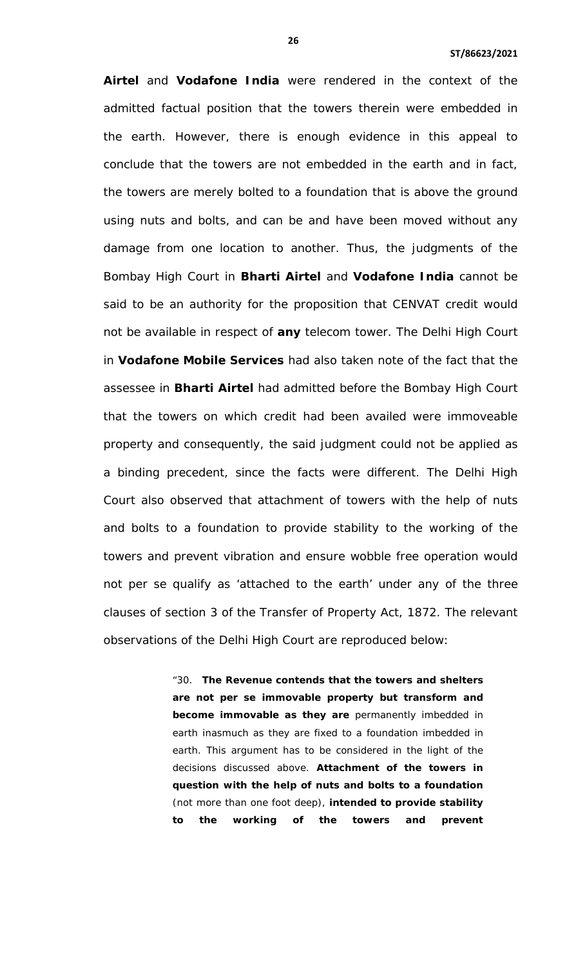**Airtel** and **Vodafone India** were rendered in the context of the admitted factual position that the towers therein were embedded in the earth. However, there is enough evidence in this appeal to conclude that the towers are not embedded in the earth and in fact, the towers are merely bolted to a foundation that is above the ground using nuts and bolts, and can be and have been moved without any damage from one location to another. Thus, the judgments of the Bombay High Court in **Bharti Airtel** and **Vodafone India** cannot be said to be an authority for the proposition that CENVAT credit would not be available in respect of **any** telecom tower. The Delhi High Court in **Vodafone Mobile Services** had also taken note of the fact that the assessee in **Bharti Airtel** had admitted before the Bombay High Court that the towers on which credit had been availed were immoveable property and consequently, the said judgment could not be applied as a binding precedent, since the facts were different. The Delhi High Court also observed that attachment of towers with the help of nuts and bolts to a foundation to provide stability to the working of the towers and prevent vibration and ensure wobble free operation would not per se qualify as 'attached to the earth' under any of the three clauses of section 3 of the Transfer of Property Act, 1872. The relevant observations of the Delhi High Court are reproduced below:

> "30. **The Revenue contends that the towers and shelters are not per se immovable property but transform and become immovable as they are** permanently imbedded in earth inasmuch as they are fixed to a foundation imbedded in earth. This argument has to be considered in the light of the decisions discussed above. **Attachment of the towers in question with the help of nuts and bolts to a foundation** (not more than one foot deep), **intended to provide stability to the working of the towers and prevent**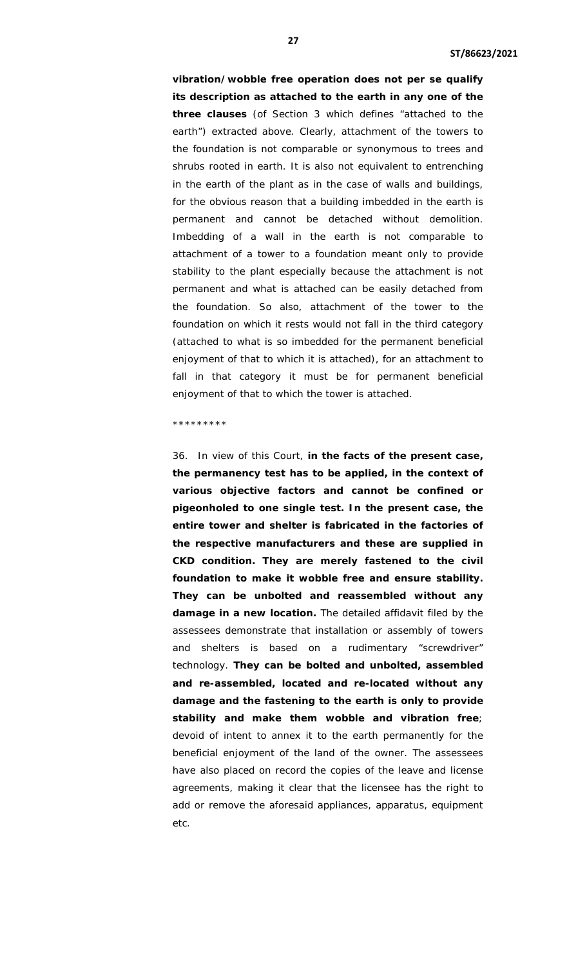**vibration/wobble free operation does not per se qualify its description as attached to the earth in any one of the three clauses** (of Section 3 which defines "attached to the earth") extracted above. Clearly, attachment of the towers to the foundation is not comparable or synonymous to trees and shrubs rooted in earth. It is also not equivalent to entrenching in the earth of the plant as in the case of walls and buildings, for the obvious reason that a building imbedded in the earth is permanent and cannot be detached without demolition. Imbedding of a wall in the earth is not comparable to attachment of a tower to a foundation meant only to provide stability to the plant especially because the attachment is not permanent and what is attached can be easily detached from the foundation. So also, attachment of the tower to the foundation on which it rests would not fall in the third category (attached to what is so imbedded for the permanent beneficial enjoyment of that to which it is attached), for an attachment to fall in that category it must be for permanent beneficial enjoyment of that to which the tower is attached.

#### \*\*\*\*\*\*\*\*\*

36. In view of this Court, **in the facts of the present case, the permanency test has to be applied, in the context of various objective factors and cannot be confined or pigeonholed to one single test. In the present case, the entire tower and shelter is fabricated in the factories of the respective manufacturers and these are supplied in CKD condition. They are merely fastened to the civil foundation to make it wobble free and ensure stability. They can be unbolted and reassembled without any damage in a new location.** The detailed affidavit filed by the assessees demonstrate that installation or assembly of towers and shelters is based on a rudimentary "screwdriver" technology. **They can be bolted and unbolted, assembled and re-assembled, located and re-located without any damage and the fastening to the earth is only to provide stability and make them wobble and vibration free**; devoid of intent to annex it to the earth permanently for the beneficial enjoyment of the land of the owner. The assessees have also placed on record the copies of the leave and license agreements, making it clear that the licensee has the right to add or remove the aforesaid appliances, apparatus, equipment etc.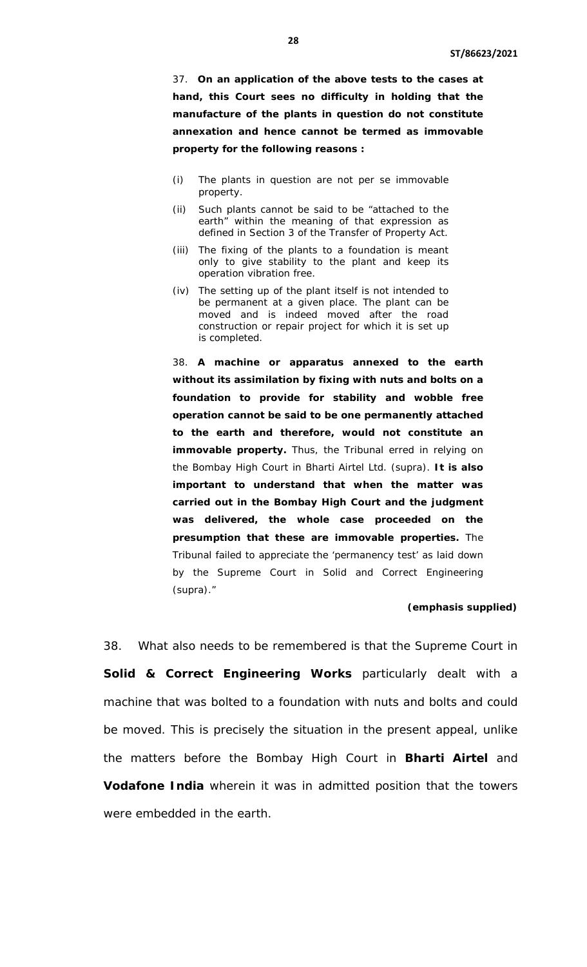37. **On an application of the above tests to the cases at hand, this Court sees no difficulty in holding that the manufacture of the plants in question do not constitute annexation and hence cannot be termed as immovable property for the following reasons :**

- (i) The plants in question are not per se immovable property.
- (ii) Such plants cannot be said to be "attached to the earth" within the meaning of that expression as defined in Section 3 of the Transfer of Property Act.
- (iii) The fixing of the plants to a foundation is meant only to give stability to the plant and keep its operation vibration free.
- (iv) The setting up of the plant itself is not intended to be permanent at a given place. The plant can be moved and is indeed moved after the road construction or repair project for which it is set up is completed.

38. **A machine or apparatus annexed to the earth without its assimilation by fixing with nuts and bolts on a foundation to provide for stability and wobble free operation cannot be said to be one permanently attached to the earth and therefore, would not constitute an immovable property.** Thus, the Tribunal erred in relying on the Bombay High Court in Bharti Airtel Ltd. (supra). **It is also important to understand that when the matter was carried out in the Bombay High Court and the judgment was delivered, the whole case proceeded on the presumption that these are immovable properties.** The Tribunal failed to appreciate the 'permanency test' as laid down by the Supreme Court in Solid and Correct Engineering (supra)."

## **(emphasis supplied)**

38. What also needs to be remembered is that the Supreme Court in **Solid & Correct Engineering Works** particularly dealt with a machine that was bolted to a foundation with nuts and bolts and could be moved. This is precisely the situation in the present appeal, unlike the matters before the Bombay High Court in **Bharti Airtel** and **Vodafone India** wherein it was in admitted position that the towers were embedded in the earth.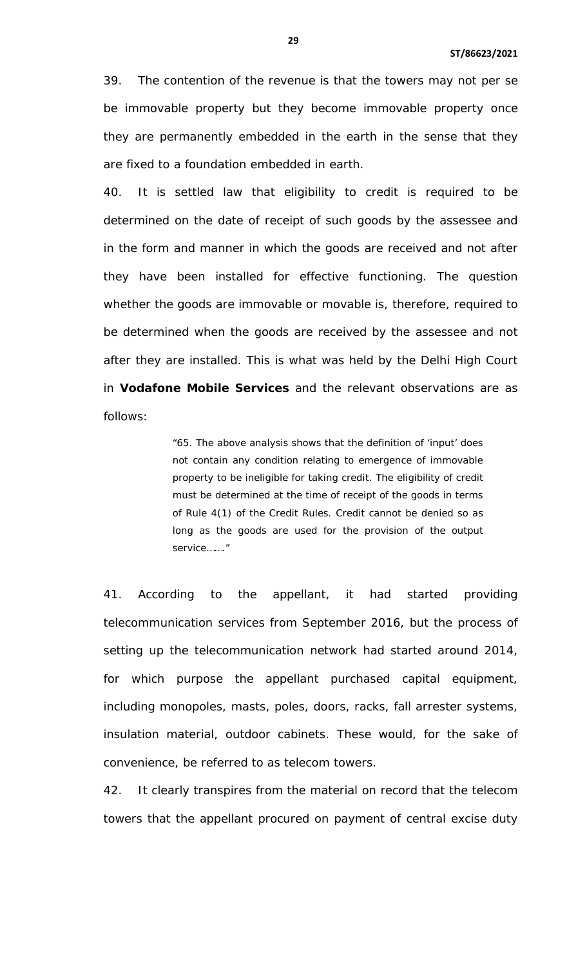39. The contention of the revenue is that the towers may not per se be immovable property but they become immovable property once they are permanently embedded in the earth in the sense that they are fixed to a foundation embedded in earth.

40. It is settled law that eligibility to credit is required to be determined on the date of receipt of such goods by the assessee and in the form and manner in which the goods are received and not after they have been installed for effective functioning. The question whether the goods are immovable or movable is, therefore, required to be determined when the goods are received by the assessee and not after they are installed. This is what was held by the Delhi High Court in **Vodafone Mobile Services** and the relevant observations are as follows:

> "65. The above analysis shows that the definition of 'input' does not contain any condition relating to emergence of immovable property to be ineligible for taking credit. The eligibility of credit must be determined at the time of receipt of the goods in terms of Rule 4(1) of the Credit Rules. Credit cannot be denied so as long as the goods are used for the provision of the output service……."

41. According to the appellant, it had started providing telecommunication services from September 2016, but the process of setting up the telecommunication network had started around 2014, for which purpose the appellant purchased capital equipment, including monopoles, masts, poles, doors, racks, fall arrester systems, insulation material, outdoor cabinets. These would, for the sake of convenience, be referred to as telecom towers.

42. It clearly transpires from the material on record that the telecom towers that the appellant procured on payment of central excise duty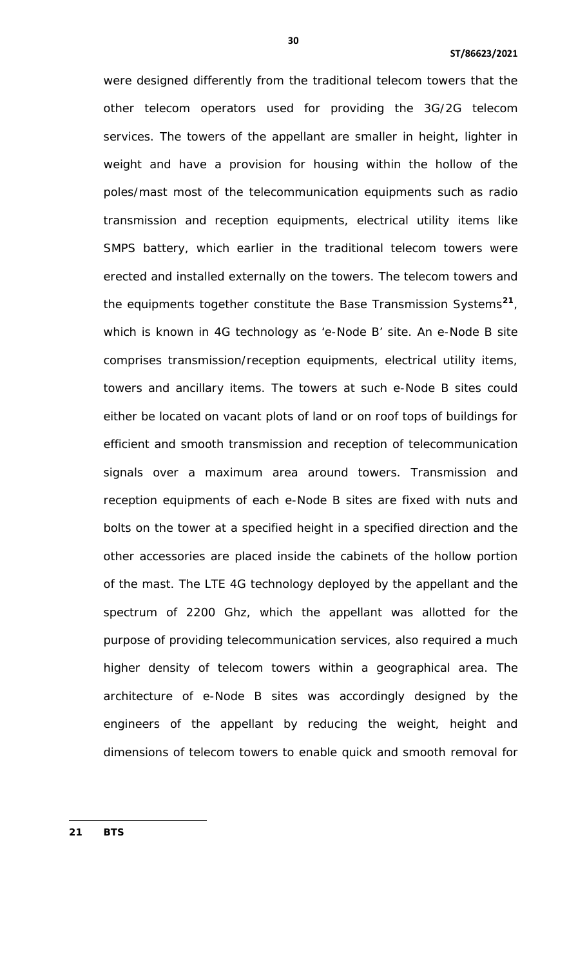were designed differently from the traditional telecom towers that the other telecom operators used for providing the 3G/2G telecom services. The towers of the appellant are smaller in height, lighter in weight and have a provision for housing within the hollow of the poles/mast most of the telecommunication equipments such as radio transmission and reception equipments, electrical utility items like SMPS battery, which earlier in the traditional telecom towers were erected and installed externally on the towers. The telecom towers and the equipments together constitute the Base Transmission Systems**[21](#page-22-1)**, which is known in 4G technology as 'e-Node B' site. An e-Node B site comprises transmission/reception equipments, electrical utility items, towers and ancillary items. The towers at such e-Node B sites could either be located on vacant plots of land or on roof tops of buildings for efficient and smooth transmission and reception of telecommunication signals over a maximum area around towers. Transmission and reception equipments of each e-Node B sites are fixed with nuts and bolts on the tower at a specified height in a specified direction and the other accessories are placed inside the cabinets of the hollow portion of the mast. The LTE 4G technology deployed by the appellant and the spectrum of 2200 Ghz, which the appellant was allotted for the purpose of providing telecommunication services, also required a much higher density of telecom towers within a geographical area. The architecture of e-Node B sites was accordingly designed by the engineers of the appellant by reducing the weight, height and dimensions of telecom towers to enable quick and smooth removal for

<span id="page-29-0"></span>**21 BTS**

l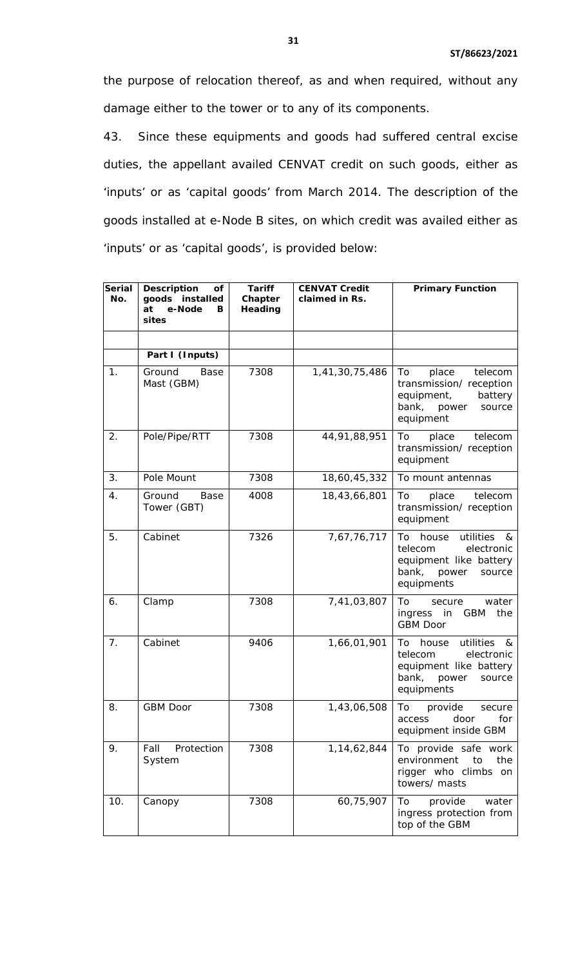the purpose of relocation thereof, as and when required, without any damage either to the tower or to any of its components.

43. Since these equipments and goods had suffered central excise duties, the appellant availed CENVAT credit on such goods, either as 'inputs' or as 'capital goods' from March 2014. The description of the goods installed at e-Node B sites, on which credit was availed either as 'inputs' or as 'capital goods', is provided below:

| <b>Serial</b><br>No. | <b>Description</b><br>of<br>goods installed<br>e-Node<br>at<br>в<br>sites | <b>Tariff</b><br>Chapter<br>Heading | <b>CENVAT Credit</b><br>claimed in Rs. | <b>Primary Function</b>                                                                                                 |
|----------------------|---------------------------------------------------------------------------|-------------------------------------|----------------------------------------|-------------------------------------------------------------------------------------------------------------------------|
|                      |                                                                           |                                     |                                        |                                                                                                                         |
|                      | Part I (Inputs)                                                           |                                     |                                        |                                                                                                                         |
| 1.                   | Ground<br>Base<br>Mast (GBM)                                              | 7308                                | 1,41,30,75,486                         | To<br>place<br>telecom<br>transmission/ reception<br>equipment,<br>battery<br>bank,<br>power<br>source<br>equipment     |
| 2.                   | Pole/Pipe/RTT                                                             | 7308                                | 44,91,88,951                           | telecom<br>To<br>place<br>transmission/reception<br>equipment                                                           |
| 3.                   | Pole Mount                                                                | 7308                                | 18,60,45,332                           | To mount antennas                                                                                                       |
| 4.                   | Ground<br>Base<br>Tower (GBT)                                             | 4008                                | 18,43,66,801                           | To<br>place<br>telecom<br>transmission/reception<br>equipment                                                           |
| 5.                   | Cabinet                                                                   | 7326                                | 7,67,76,717                            | To house<br>utilities<br>&<br>telecom<br>electronic<br>equipment like battery<br>bank,<br>power<br>source<br>equipments |
| 6.                   | Clamp                                                                     | 7308                                | 7,41,03,807                            | To<br>secure<br>water<br>the<br>ingress in<br><b>GBM</b><br><b>GBM Door</b>                                             |
| 7.                   | Cabinet                                                                   | 9406                                | 1,66,01,901                            | To house<br>utilities<br>&<br>telecom<br>electronic<br>equipment like battery<br>bank,<br>power<br>source<br>equipments |
| 8.                   | GBM Door                                                                  | 7308                                | 1,43,06,508                            | To<br>provide<br>secure<br>for<br>door<br>access<br>equipment inside GBM                                                |
| 9.                   | Protection<br>Fall<br>System                                              | 7308                                | 1,14,62,844                            | To provide safe work<br>environment<br>to<br>the<br>rigger who climbs on<br>towers/ masts                               |
| 10.                  | Canopy                                                                    | 7308                                | 60,75,907                              | provide<br>To<br>water<br>ingress protection from<br>top of the GBM                                                     |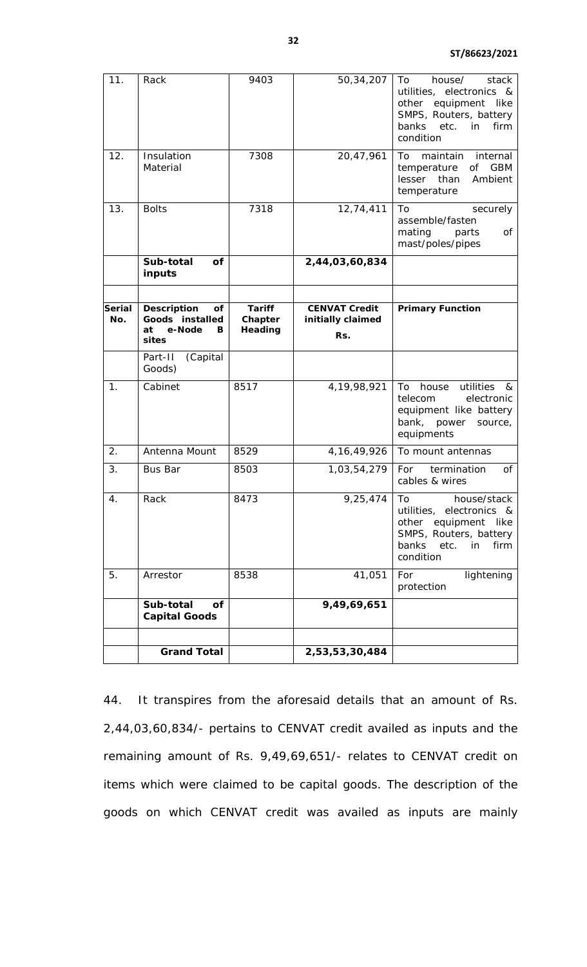| 11.           | Rack                                        | 9403                     | 50,34,207                                 | To<br>house/<br>stack<br>utilities, electronics &<br>equipment<br>like<br>other<br>SMPS, Routers, battery<br>in<br>banks<br>etc.<br>firm<br>condition                                                                                                                                                                                                                      |
|---------------|---------------------------------------------|--------------------------|-------------------------------------------|----------------------------------------------------------------------------------------------------------------------------------------------------------------------------------------------------------------------------------------------------------------------------------------------------------------------------------------------------------------------------|
| 12.           | Insulation<br>Material                      | 7308                     | 20,47,961                                 | internal<br>To<br>maintain<br><b>GBM</b><br>temperature<br>οf<br>lesser than<br>Ambient<br>temperature                                                                                                                                                                                                                                                                     |
| 13.           | <b>Bolts</b>                                | 7318                     | 12,74,411                                 | To<br>securely<br>assemble/fasten<br>mating<br>parts<br>оf<br>mast/poles/pipes                                                                                                                                                                                                                                                                                             |
|               | Sub-total<br>of<br>inputs                   |                          | 2,44,03,60,834                            |                                                                                                                                                                                                                                                                                                                                                                            |
|               |                                             |                          |                                           |                                                                                                                                                                                                                                                                                                                                                                            |
| Serial<br>No. | <b>Description</b><br>οf<br>Goods installed | <b>Tariff</b><br>Chapter | <b>CENVAT Credit</b><br>initially claimed | <b>Primary Function</b>                                                                                                                                                                                                                                                                                                                                                    |
|               | e-Node<br>at<br>в<br>sites                  | Heading                  | Rs.                                       |                                                                                                                                                                                                                                                                                                                                                                            |
|               | (Capital<br>Part-II<br>Goods)               |                          |                                           |                                                                                                                                                                                                                                                                                                                                                                            |
| 1.            | Cabinet                                     | 8517                     | 4, 19, 98, 921                            | house<br>utilities<br>To<br>&<br>electronic<br>telecom<br>equipment like battery<br>bank, power<br>source,<br>equipments                                                                                                                                                                                                                                                   |
| 2.            | Antenna Mount                               | 8529                     | 4, 16, 49, 926                            | To mount antennas                                                                                                                                                                                                                                                                                                                                                          |
| 3.            | <b>Bus Bar</b>                              | 8503                     | 1,03,54,279                               | termination<br>For<br>of<br>cables & wires                                                                                                                                                                                                                                                                                                                                 |
| 4.            | Rack                                        | 8473                     | 9,25,474                                  | To the control of the control of the control of the control of the control of the control of the control of the control of the control of the control of the control of the control of the control of the control of the contr<br>house/stack<br>utilities, electronics &<br>other equipment<br>like<br>SMPS, Routers, battery<br>banks<br>etc.<br>in<br>firm<br>condition |
| 5.            | Arrestor                                    | 8538                     | 41,051                                    | For<br>lightening<br>protection                                                                                                                                                                                                                                                                                                                                            |
|               | Sub-total<br>Οf<br><b>Capital Goods</b>     |                          | 9,49,69,651                               |                                                                                                                                                                                                                                                                                                                                                                            |
|               |                                             |                          |                                           |                                                                                                                                                                                                                                                                                                                                                                            |
|               | <b>Grand Total</b>                          |                          | 2,53,53,30,484                            |                                                                                                                                                                                                                                                                                                                                                                            |

44. It transpires from the aforesaid details that an amount of Rs. 2,44,03,60,834/- pertains to CENVAT credit availed as inputs and the remaining amount of Rs. 9,49,69,651/- relates to CENVAT credit on items which were claimed to be capital goods. The description of the goods on which CENVAT credit was availed as inputs are mainly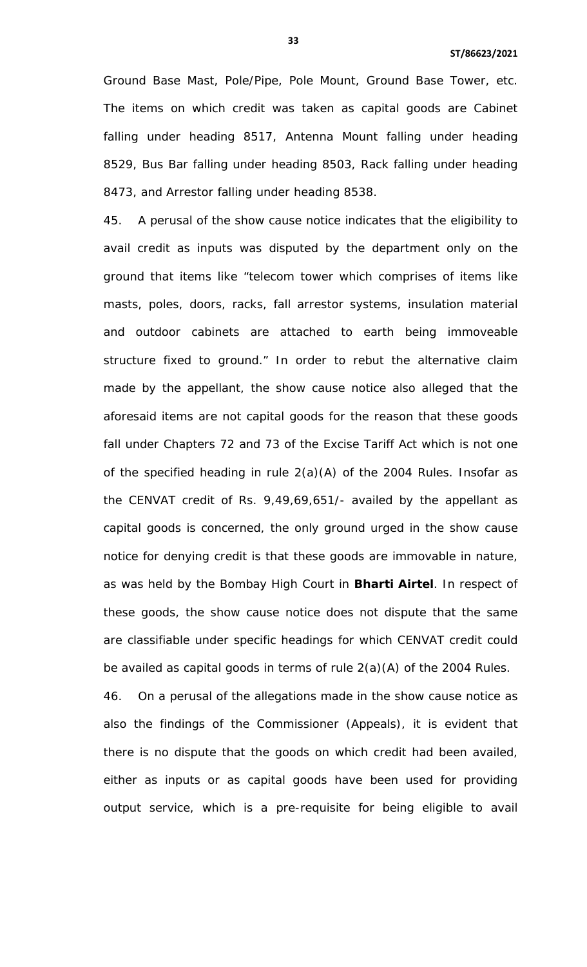Ground Base Mast, Pole/Pipe, Pole Mount, Ground Base Tower, etc. The items on which credit was taken as capital goods are Cabinet falling under heading 8517, Antenna Mount falling under heading 8529, Bus Bar falling under heading 8503, Rack falling under heading 8473, and Arrestor falling under heading 8538.

45. A perusal of the show cause notice indicates that the eligibility to avail credit as inputs was disputed by the department only on the ground that items like "telecom tower which comprises of items like masts, poles, doors, racks, fall arrestor systems, insulation material and outdoor cabinets are attached to earth being immoveable structure fixed to ground." In order to rebut the alternative claim made by the appellant, the show cause notice also alleged that the aforesaid items are not capital goods for the reason that these goods fall under Chapters 72 and 73 of the Excise Tariff Act which is not one of the specified heading in rule 2(a)(A) of the 2004 Rules. Insofar as the CENVAT credit of Rs. 9,49,69,651/- availed by the appellant as capital goods is concerned, the only ground urged in the show cause notice for denying credit is that these goods are immovable in nature, as was held by the Bombay High Court in **Bharti Airtel**. In respect of these goods, the show cause notice does not dispute that the same are classifiable under specific headings for which CENVAT credit could be availed as capital goods in terms of rule 2(a)(A) of the 2004 Rules.

46. On a perusal of the allegations made in the show cause notice as also the findings of the Commissioner (Appeals), it is evident that there is no dispute that the goods on which credit had been availed, either as inputs or as capital goods have been used for providing output service, which is a pre-requisite for being eligible to avail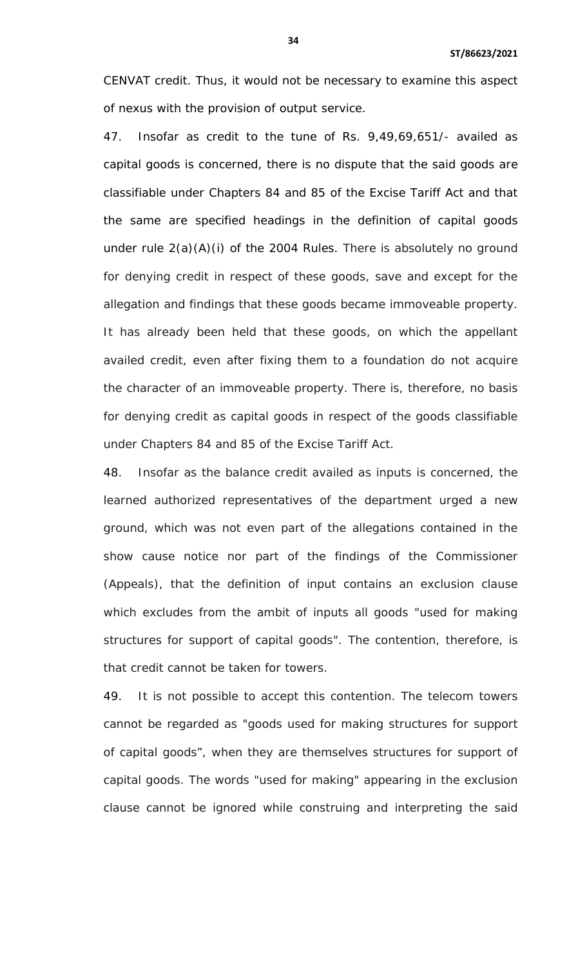CENVAT credit. Thus, it would not be necessary to examine this aspect of nexus with the provision of output service.

47. Insofar as credit to the tune of Rs. 9,49,69,651/- availed as capital goods is concerned, there is no dispute that the said goods are classifiable under Chapters 84 and 85 of the Excise Tariff Act and that the same are specified headings in the definition of capital goods under rule 2(a)(A)(i) of the 2004 Rules. There is absolutely no ground for denying credit in respect of these goods, save and except for the allegation and findings that these goods became immoveable property. It has already been held that these goods, on which the appellant availed credit, even after fixing them to a foundation do not acquire the character of an immoveable property. There is, therefore, no basis for denying credit as capital goods in respect of the goods classifiable under Chapters 84 and 85 of the Excise Tariff Act.

48. Insofar as the balance credit availed as inputs is concerned, the learned authorized representatives of the department urged a new ground, which was not even part of the allegations contained in the show cause notice nor part of the findings of the Commissioner (Appeals), that the definition of input contains an exclusion clause which excludes from the ambit of inputs all goods "used for making structures for support of capital goods". The contention, therefore, is that credit cannot be taken for towers.

49. It is not possible to accept this contention. The telecom towers cannot be regarded as "goods used for making structures for support of capital goods", when they are themselves structures for support of capital goods. The words "used for making" appearing in the exclusion clause cannot be ignored while construing and interpreting the said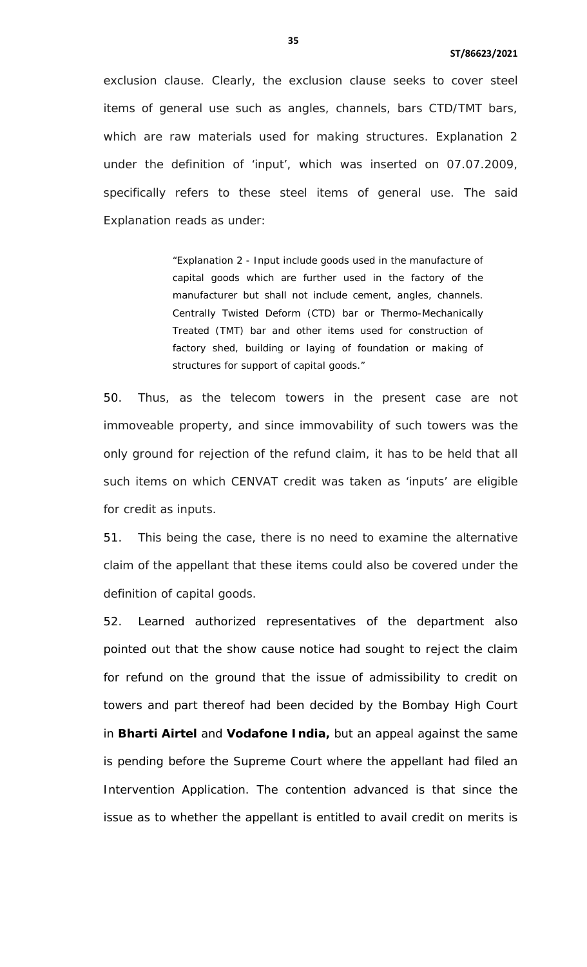exclusion clause. Clearly, the exclusion clause seeks to cover steel items of general use such as angles, channels, bars CTD/TMT bars, which are raw materials used for making structures. Explanation 2 under the definition of 'input', which was inserted on 07.07.2009, specifically refers to these steel items of general use. The said Explanation reads as under:

> "Explanation 2 - Input include goods used in the manufacture of capital goods which are further used in the factory of the manufacturer but shall not include cement, angles, channels. Centrally Twisted Deform (CTD) bar or Thermo-Mechanically Treated (TMT) bar and other items used for construction of factory shed, building or laying of foundation or making of structures for support of capital goods."

50. Thus, as the telecom towers in the present case are not immoveable property, and since immovability of such towers was the only ground for rejection of the refund claim, it has to be held that all such items on which CENVAT credit was taken as 'inputs' are eligible for credit as inputs.

51. This being the case, there is no need to examine the alternative claim of the appellant that these items could also be covered under the definition of capital goods.

52. Learned authorized representatives of the department also pointed out that the show cause notice had sought to reject the claim for refund on the ground that the issue of admissibility to credit on towers and part thereof had been decided by the Bombay High Court in **Bharti Airtel** and **Vodafone India,** but an appeal against the same is pending before the Supreme Court where the appellant had filed an Intervention Application. The contention advanced is that since the issue as to whether the appellant is entitled to avail credit on merits is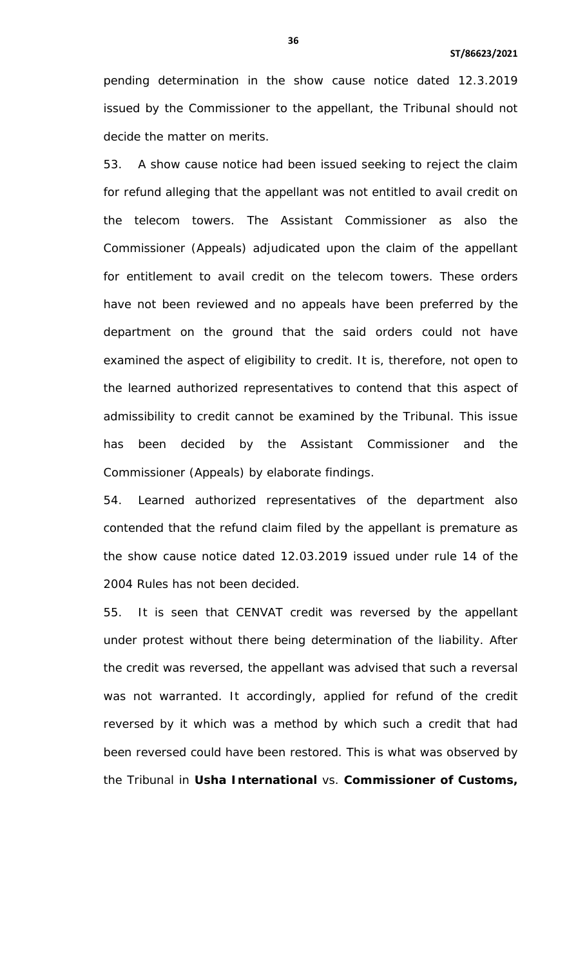pending determination in the show cause notice dated 12.3.2019 issued by the Commissioner to the appellant, the Tribunal should not decide the matter on merits.

53. A show cause notice had been issued seeking to reject the claim for refund alleging that the appellant was not entitled to avail credit on the telecom towers. The Assistant Commissioner as also the Commissioner (Appeals) adjudicated upon the claim of the appellant for entitlement to avail credit on the telecom towers. These orders have not been reviewed and no appeals have been preferred by the department on the ground that the said orders could not have examined the aspect of eligibility to credit. It is, therefore, not open to the learned authorized representatives to contend that this aspect of admissibility to credit cannot be examined by the Tribunal. This issue has been decided by the Assistant Commissioner and the Commissioner (Appeals) by elaborate findings.

54. Learned authorized representatives of the department also contended that the refund claim filed by the appellant is premature as the show cause notice dated 12.03.2019 issued under rule 14 of the 2004 Rules has not been decided.

55. It is seen that CENVAT credit was reversed by the appellant under protest without there being determination of the liability. After the credit was reversed, the appellant was advised that such a reversal was not warranted. It accordingly, applied for refund of the credit reversed by it which was a method by which such a credit that had been reversed could have been restored. This is what was observed by the Tribunal in **Usha International** vs. **Commissioner of Customs,**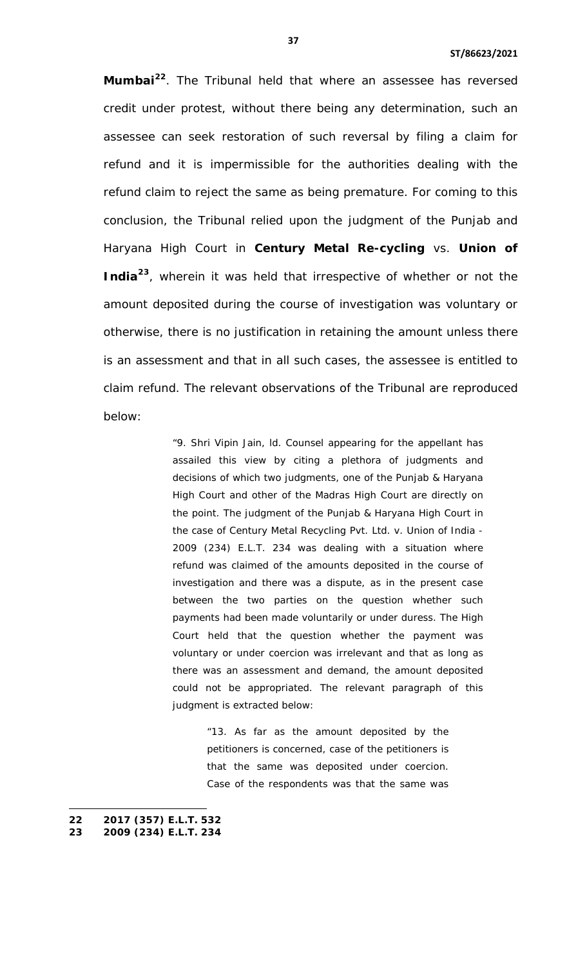**Mumbai[22](#page-29-0)**. The Tribunal held that where an assessee has reversed credit under protest, without there being any determination, such an assessee can seek restoration of such reversal by filing a claim for refund and it is impermissible for the authorities dealing with the refund claim to reject the same as being premature. For coming to this conclusion, the Tribunal relied upon the judgment of the Punjab and Haryana High Court in **Century Metal Re-cycling** vs. **Union of India[23](#page-36-0)**, wherein it was held that irrespective of whether or not the amount deposited during the course of investigation was voluntary or otherwise, there is no justification in retaining the amount unless there is an assessment and that in all such cases, the assessee is entitled to claim refund. The relevant observations of the Tribunal are reproduced below:

> "9. Shri Vipin Jain, ld. Counsel appearing for the appellant has assailed this view by citing a plethora of judgments and decisions of which two judgments, one of the Punjab & Haryana High Court and other of the Madras High Court are directly on the point. The judgment of the Punjab & Haryana High Court in the case of Century Metal Recycling Pvt. Ltd. v. Union of India - 2009 (234) E.L.T. 234 was dealing with a situation where refund was claimed of the amounts deposited in the course of investigation and there was a dispute, as in the present case between the two parties on the question whether such payments had been made voluntarily or under duress. The High Court held that the question whether the payment was voluntary or under coercion was irrelevant and that as long as there was an assessment and demand, the amount deposited could not be appropriated. The relevant paragraph of this judgment is extracted below:

> > "13. As far as the amount deposited by the petitioners is concerned, case of the petitioners is that the same was deposited under coercion. Case of the respondents was that the same was

 $\overline{a}$ 

<span id="page-36-0"></span>**<sup>22</sup> 2017 (357) E.L.T. 532**

<span id="page-36-1"></span>**<sup>23</sup> 2009 (234) E.L.T. 234**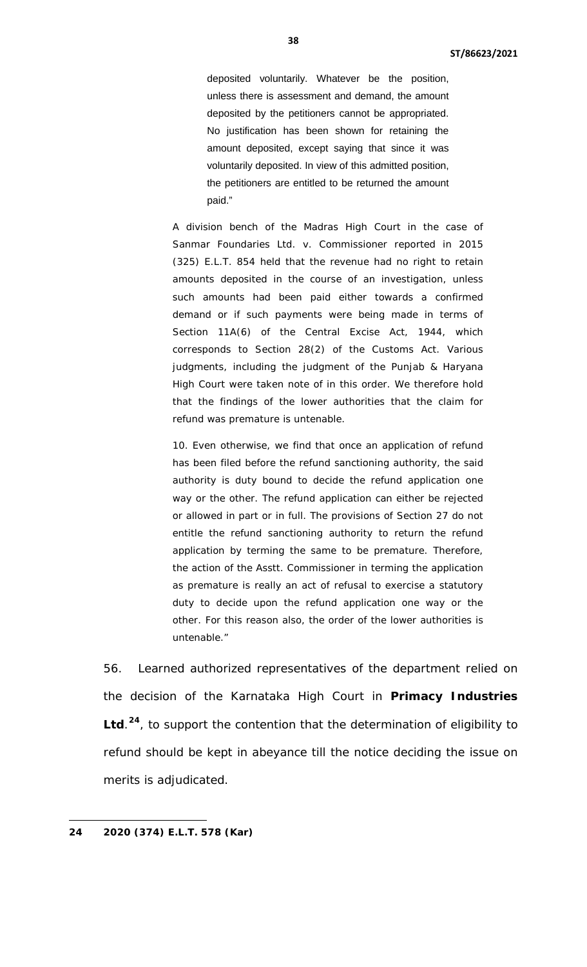deposited voluntarily. Whatever be the position, unless there is assessment and demand, the amount deposited by the petitioners cannot be appropriated. No justification has been shown for retaining the amount deposited, except saying that since it was voluntarily deposited. In view of this admitted position, the petitioners are entitled to be returned the amount paid."

A division bench of the Madras High Court in the case of Sanmar Foundaries Ltd. v. Commissioner reported in 2015 (325) E.L.T. 854 held that the revenue had no right to retain amounts deposited in the course of an investigation, unless such amounts had been paid either towards a confirmed demand or if such payments were being made in terms of Section 11A(6) of the Central Excise Act, 1944, which corresponds to Section 28(2) of the Customs Act. Various judgments, including the judgment of the Punjab & Haryana High Court were taken note of in this order. We therefore hold that the findings of the lower authorities that the claim for refund was premature is untenable.

10. Even otherwise, we find that once an application of refund has been filed before the refund sanctioning authority, the said authority is duty bound to decide the refund application one way or the other. The refund application can either be rejected or allowed in part or in full. The provisions of Section 27 do not entitle the refund sanctioning authority to return the refund application by terming the same to be premature. Therefore, the action of the Asstt. Commissioner in terming the application as premature is really an act of refusal to exercise a statutory duty to decide upon the refund application one way or the other. For this reason also, the order of the lower authorities is untenable."

56. Learned authorized representatives of the department relied on the decision of the Karnataka High Court in **Primacy Industries Ltd**. **[24](#page-36-1)**, to support the contention that the determination of eligibility to refund should be kept in abeyance till the notice deciding the issue on merits is adjudicated.

<span id="page-37-0"></span>**24 2020 (374) E.L.T. 578 (Kar)**

l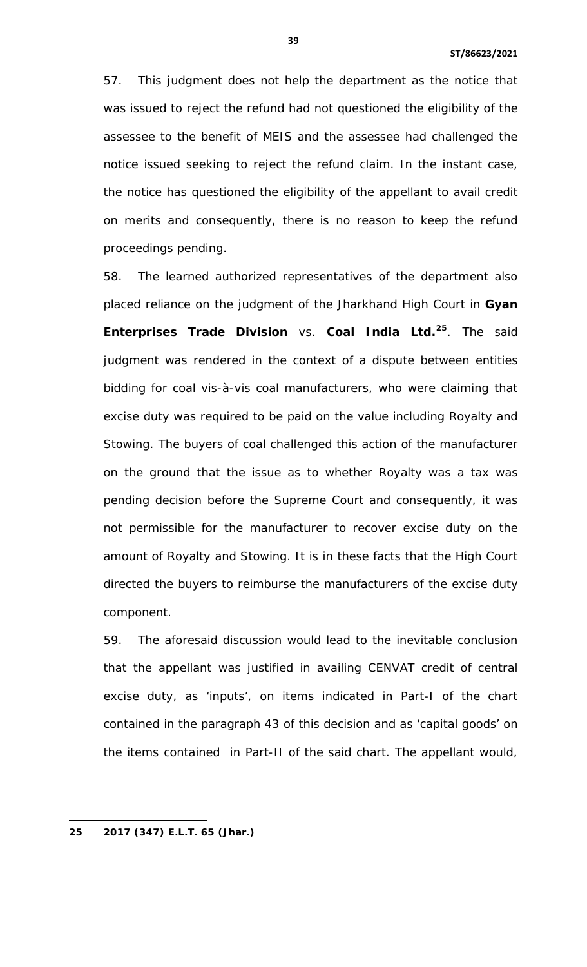57. This judgment does not help the department as the notice that was issued to reject the refund had not questioned the eligibility of the assessee to the benefit of MEIS and the assessee had challenged the notice issued seeking to reject the refund claim. In the instant case, the notice has questioned the eligibility of the appellant to avail credit on merits and consequently, there is no reason to keep the refund proceedings pending.

58. The learned authorized representatives of the department also placed reliance on the judgment of the Jharkhand High Court in **Gyan Enterprises Trade Division** vs. **Coal India Ltd.[25](#page-37-0)**. The said judgment was rendered in the context of a dispute between entities bidding for coal vis-à-vis coal manufacturers, who were claiming that excise duty was required to be paid on the value including Royalty and Stowing. The buyers of coal challenged this action of the manufacturer on the ground that the issue as to whether Royalty was a tax was pending decision before the Supreme Court and consequently, it was not permissible for the manufacturer to recover excise duty on the amount of Royalty and Stowing. It is in these facts that the High Court directed the buyers to reimburse the manufacturers of the excise duty component.

59. The aforesaid discussion would lead to the inevitable conclusion that the appellant was justified in availing CENVAT credit of central excise duty, as 'inputs', on items indicated in Part-I of the chart contained in the paragraph 43 of this decision and as 'capital goods' on the items contained in Part-II of the said chart. The appellant would,

l

**<sup>25</sup> 2017 (347) E.L.T. 65 (Jhar.)**